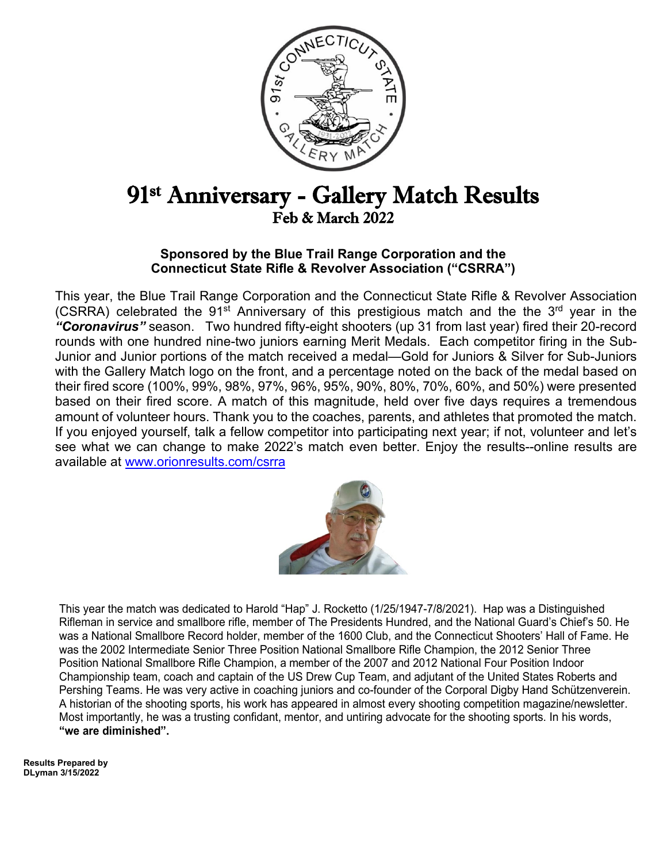

# 91st Anniversary - Gallery Match Results Feb & March 2022

### **Sponsored by the Blue Trail Range Corporation and the Connecticut State Rifle & Revolver Association ("CSRRA")**

This year, the Blue Trail Range Corporation and the Connecticut State Rifle & Revolver Association (CSRRA) celebrated the 91<sup>st</sup> Anniversary of this prestigious match and the the 3<sup>rd</sup> year in the *"Coronavirus"* season. Two hundred fifty-eight shooters (up 31 from last year) fired their 20-record rounds with one hundred nine-two juniors earning Merit Medals. Each competitor firing in the Sub-Junior and Junior portions of the match received a medal—Gold for Juniors & Silver for Sub-Juniors with the Gallery Match logo on the front, and a percentage noted on the back of the medal based on their fired score (100%, 99%, 98%, 97%, 96%, 95%, 90%, 80%, 70%, 60%, and 50%) were presented based on their fired score. A match of this magnitude, held over five days requires a tremendous amount of volunteer hours. Thank you to the coaches, parents, and athletes that promoted the match. If you enjoyed yourself, talk a fellow competitor into participating next year; if not, volunteer and let's see what we can change to make 2022's match even better. Enjoy the results--online results are available at [www.orionresults.com/csrra](http://www.orionresults.com/csrra)



This year the match was dedicated to Harold "Hap" J. Rocketto (1/25/1947-7/8/2021). Hap was a Distinguished Rifleman in service and smallbore rifle, member of The Presidents Hundred, and the National Guard's Chief's 50. He was a National Smallbore Record holder, member of the 1600 Club, and the Connecticut Shooters' Hall of Fame. He was the 2002 Intermediate Senior Three Position National Smallbore Rifle Champion, the 2012 Senior Three Position National Smallbore Rifle Champion, a member of the 2007 and 2012 National Four Position Indoor Championship team, coach and captain of the US Drew Cup Team, and adjutant of the United States Roberts and Pershing Teams. He was very active in coaching juniors and co-founder of the Corporal Digby Hand Schützenverein. A historian of the shooting sports, his work has appeared in almost every shooting competition magazine/newsletter. Most importantly, he was a trusting confidant, mentor, and untiring advocate for the shooting sports. In his words, **"we are diminished".**

**Results Prepared by DLyman 3/15/2022**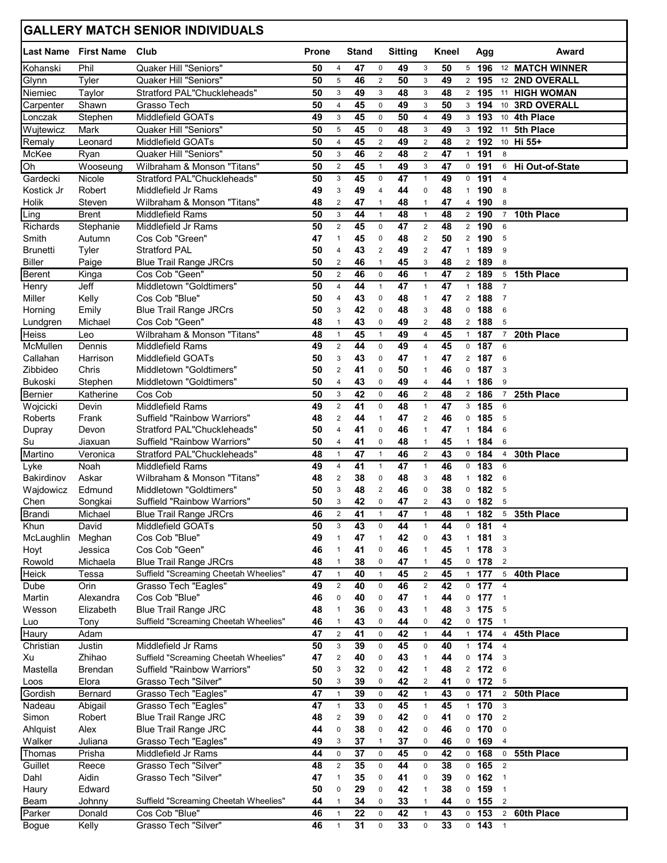|                             |                     | <b>GALLERY MATCH SENIOR INDIVIDUALS</b>      |              |                              |              |                                           |                |                                  |          |                                |            |                               |                 |
|-----------------------------|---------------------|----------------------------------------------|--------------|------------------------------|--------------|-------------------------------------------|----------------|----------------------------------|----------|--------------------------------|------------|-------------------------------|-----------------|
| <b>Last Name</b> First Name |                     | Club                                         | <b>Prone</b> |                              | <b>Stand</b> |                                           | <b>Sitting</b> |                                  | Kneel    |                                | Agg        |                               | Award           |
| Kohanski                    | Phil                | Quaker Hill "Seniors"                        | 50           | 4                            | 47           | $\mathsf{O}\xspace$                       | 49             | 3                                | 50       | 5                              | 196        |                               | 12 MATCH WINNER |
| Glynn                       | Tyler               | Quaker Hill "Seniors"                        | 50           | 5                            | 46           | $\overline{2}$                            | 50             | 3                                | 49       | $\overline{2}$                 | 195        |                               | 12 2ND OVERALL  |
| Niemiec                     | Taylor              | Stratford PAL"Chuckleheads"                  | 50           | 3                            | 49           | 3                                         | 48             | 3                                | 48       | $\overline{2}$                 | 195        |                               | 11 HIGH WOMAN   |
| Carpenter                   | Shawn               | Grasso Tech                                  | 50           | 4                            | 45           | 0                                         | 49             | 3                                | 50       | 3                              | 194        |                               | 10 3RD OVERALL  |
| Lonczak                     | Stephen             | Middlefield GOATs                            | 49           | 3                            | 45           | 0                                         | 50             | $\overline{4}$                   | 49       | 3                              | 193        | 10 <sup>1</sup>               | 4th Place       |
| Wujtewicz                   | Mark                | Quaker Hill "Seniors"                        | 50           | 5<br>$\overline{4}$          | 45           | 0                                         | 48             | 3                                | 49       | 3                              | 192<br>192 | 11                            | 5th Place       |
| Remaly<br>McKee             | Leonard<br>Ryan     | Middlefield GOATs<br>Quaker Hill "Seniors"   | 50<br>50     | 3                            | 45<br>46     | $\overline{\mathbf{c}}$<br>$\overline{c}$ | 49<br>48       | $\overline{2}$<br>$\overline{2}$ | 48<br>47 | $\overline{2}$<br>$\mathbf{1}$ | 191        | 8                             | 10 Hi 55+       |
| Oh                          | Wooseung            | Wilbraham & Monson "Titans"                  | 50           | $\overline{2}$               | 45           | $\mathbf{1}$                              | 49             | 3                                | 47       | 0                              | 191        | 6                             | Hi Out-of-State |
| Gardecki                    | Nicole              | Stratford PAL"Chuckleheads"                  | 50           | 3                            | 45           | 0                                         | 47             | $\mathbf{1}$                     | 49       | 0                              | 191        | $\overline{4}$                |                 |
| Kostick Jr                  | Robert              | Middlefield Jr Rams                          | 49           | 3                            | 49           | 4                                         | 44             | 0                                | 48       | $\mathbf{1}$                   | 190        | 8                             |                 |
| Holik                       | Steven              | Wilbraham & Monson "Titans"                  | 48           | $\overline{2}$               | 47           | 1                                         | 48             | $\mathbf{1}$                     | 47       | 4                              | 190        | 8                             |                 |
| Ling                        | <b>Brent</b>        | Middlefield Rams                             | 50           | 3                            | 44           | $\mathbf{1}$                              | 48             | $\mathbf{1}$                     | 48       | $\overline{2}$                 | 190        | $\overline{7}$                | 10th Place      |
| Richards                    | Stephanie           | Middlefield Jr Rams                          | 50           | $\overline{2}$               | 45           | $\mathbf 0$                               | 47             | $\overline{2}$                   | 48       | $\overline{2}$                 | 190        | 6                             |                 |
| Smith                       | Autumn              | Cos Cob "Green"                              | 47           | $\mathbf{1}$                 | 45           | 0                                         | 48             | $\overline{c}$                   | 50       | $\overline{2}$                 | 190        | 5                             |                 |
| <b>Brunetti</b>             | Tyler               | <b>Stratford PAL</b>                         | 50           | $\overline{4}$               | 43           | $\overline{2}$                            | 49             | $\overline{2}$                   | 47       | $\mathbf{1}$                   | 189        | 9                             |                 |
| <b>Biller</b>               | Paige               | <b>Blue Trail Range JRCrs</b>                | 50           | $\overline{2}$               | 46           | $\mathbf{1}$                              | 45             | 3                                | 48       | $\overline{2}$                 | 189        | 8                             |                 |
| <b>Berent</b>               | Kinga               | Cos Cob "Geen"                               | 50           | $\overline{2}$               | 46           | $\mathbf 0$                               | 46             | $\mathbf{1}$                     | 47       | $\overline{2}$                 | 189        | 5                             | 15th Place      |
| Henry                       | Jeff                | Middletown "Goldtimers"                      | 50           | $\overline{4}$               | 44           | $\mathbf{1}$                              | 47             | $\mathbf{1}$                     | 47       | $\mathbf{1}$                   | 188        | $\overline{7}$                |                 |
| Miller                      | Kelly               | Cos Cob "Blue"                               | 50           | $\overline{4}$               | 43           | 0                                         | 48             | $\mathbf{1}$                     | 47       | $\overline{2}$                 | 188        | $\overline{7}$                |                 |
| Horning                     | Emily               | <b>Blue Trail Range JRCrs</b>                | 50           | 3                            | 42           | 0                                         | 48             | 3                                | 48       | 0                              | 188        | $\,6$                         |                 |
| Lundgren                    | Michael             | Cos Cob "Geen"                               | 48           | $\mathbf{1}$                 | 43           | 0                                         | 49             | $\overline{2}$                   | 48       | $\overline{2}$                 | 188        | 5                             |                 |
| <b>Heiss</b>                | Leo                 | Wilbraham & Monson "Titans"                  | 48           | $\mathbf{1}$                 | 45           | $\mathbf{1}$                              | 49             | 4                                | 45       | $\mathbf{1}$                   | 187        | $\overline{7}$                | 20th Place      |
| McMullen                    | Dennis              | Middlefield Rams                             | 49           | $\overline{2}$               | 44           | 0                                         | 49             | 4                                | 45       | 0                              | 187<br>187 | 6<br>6                        |                 |
| Callahan<br>Zibbideo        | Harrison<br>Chris   | Middlefield GOATs<br>Middletown "Goldtimers" | 50<br>50     | 3<br>$\overline{2}$          | 43<br>41     | 0<br>0                                    | 47<br>50       | $\mathbf{1}$<br>$\mathbf{1}$     | 47<br>46 | $\overline{2}$<br>0            | 187        | 3                             |                 |
| Bukoski                     | Stephen             | Middletown "Goldtimers"                      | 50           | $\overline{4}$               | 43           | 0                                         | 49             | 4                                | 44       | $\mathbf{1}$                   | 186        | 9                             |                 |
| Bernier                     | Katherine           | Cos Cob                                      | 50           | 3                            | 42           | $\mathbf 0$                               | 46             | $\overline{c}$                   | 48       | $\overline{2}$                 | 186        | $\overline{7}$                | 25th Place      |
| Wojcicki                    | Devin               | Middlefield Rams                             | 49           | $\overline{2}$               | 41           | 0                                         | 48             | $\mathbf{1}$                     | 47       | 3                              | 185        | 6                             |                 |
| Roberts                     | Frank               | Suffield "Rainbow Warriors"                  | 48           | $\overline{2}$               | 44           | 1                                         | 47             | $\overline{c}$                   | 46       | 0                              | 185        | 5                             |                 |
| Dupray                      | Devon               | Stratford PAL"Chuckleheads"                  | 50           | $\overline{4}$               | 41           | 0                                         | 46             | $\mathbf{1}$                     | 47       | $\mathbf{1}$                   | 184        | 6                             |                 |
| Su                          | Jiaxuan             | <b>Suffield "Rainbow Warriors"</b>           | 50           | $\overline{4}$               | 41           | 0                                         | 48             | $\mathbf{1}$                     | 45       | $\mathbf{1}$                   | 184        | 6                             |                 |
| Martino                     | Veronica            | Stratford PAL"Chuckleheads"                  | 48           | $\mathbf{1}$                 | 47           | $\mathbf{1}$                              | 46             | $\overline{2}$                   | 43       | 0                              | 184        | $\overline{\mathbf{4}}$       | 30th Place      |
| Lyke                        | Noah                | <b>Middlefield Rams</b>                      | 49           | $\overline{4}$               | 41           | $\mathbf{1}$                              | 47             | $\mathbf{1}$                     | 46       | 0                              | 183        | 6                             |                 |
| Bakirdinov                  | Askar               | Wilbraham & Monson "Titans"                  | 48           | $\overline{2}$               | 38           | 0                                         | 48             | 3                                | 48       | $\mathbf{1}$                   | 182        | 6                             |                 |
| Wajdowicz                   | Edmund              | Middletown "Goldtimers"                      | 50           | 3                            | 48           | 2                                         | 46             | 0                                | 38       | 0                              | 182        | 5                             |                 |
| Chen                        | Songkai             | Suffield "Rainbow Warriors"                  | 50           | 3                            | 42           | 0                                         | 47             | $\overline{2}$                   | 43       | 0                              | 182        | 5                             |                 |
| <b>Brandi</b>               | Michael             | <b>Blue Trail Range JRCrs</b>                | 46           | $\boldsymbol{2}$             | 41           | $\mathbf{1}$                              | 47             | $\mathbf{1}$                     | 48       | $\mathbf{1}$                   | 182        | $5\phantom{.0}$               | 35th Place      |
| Khun                        | David               | Middlefield GOATs                            | 50           | 3                            | 43           | 0                                         | 44             | $\mathbf{1}$                     | 44       | 0                              | 181        | $\overline{4}$                |                 |
| McLaughlin                  | Meghan              | Cos Cob "Blue"<br>Cos Cob "Geen"             | 49           | $\mathbf{1}$<br>$\mathbf{1}$ | 47           | $\mathbf{1}$<br>0                         | 42<br>46       | 0<br>$\mathbf{1}$                | 43<br>45 | $\mathbf{1}$<br>$\mathbf{1}$   | 181<br>178 | 3<br>3                        |                 |
| Hoyt<br>Rowold              | Jessica<br>Michaela | <b>Blue Trail Range JRCrs</b>                | 46<br>48     | $\mathbf{1}$                 | 41<br>38     | 0                                         | 47             | 1                                | 45       | 0                              | 178        | $\overline{2}$                |                 |
| Heick                       | Tessa               | Suffield "Screaming Cheetah Wheelies"        | 47           | $\mathbf{1}$                 | 40           | $\mathbf{1}$                              | 45             | $\overline{2}$                   | 45       | $\mathbf{1}$                   | 177        | 5                             | 40th Place      |
| Dube                        | Orin                | Grasso Tech "Eagles"                         | 49           | $\boldsymbol{2}$             | 40           | 0                                         | 46             | $\overline{\mathbf{c}}$          | 42       | 0                              | 177        | $\overline{4}$                |                 |
| Martin                      | Alexandra           | Cos Cob "Blue"                               | 46           | $\pmb{0}$                    | 40           | 0                                         | 47             | $\mathbf{1}$                     | 44       | 0                              | 177        | $\overline{1}$                |                 |
| Wesson                      | Elizabeth           | <b>Blue Trail Range JRC</b>                  | 48           | $\mathbf{1}$                 | 36           | 0                                         | 43             | $\mathbf{1}$                     | 48       | 3                              | 175        | 5                             |                 |
| Luo                         | Tony                | Suffield "Screaming Cheetah Wheelies"        | 46           | $\mathbf{1}$                 | 43           | 0                                         | 44             | 0                                | 42       | $\mathbf 0$                    | 175        | $\overline{1}$                |                 |
| Haury                       | Adam                |                                              | 47           | $\overline{2}$               | 41           | $\mathbf 0$                               | 42             | $\mathbf{1}$                     | 44       | $\mathbf{1}$                   | 174        | 4                             | 45th Place      |
| Christian                   | Justin              | Middlefield Jr Rams                          | 50           | 3                            | 39           | $\mathbf 0$                               | 45             | $\mathbf 0$                      | 40       | $\mathbf{1}$                   | 174        | $\overline{4}$                |                 |
| Xu                          | Zhihao              | Suffield "Screaming Cheetah Wheelies"        | 47           | $\sqrt{2}$                   | 40           | 0                                         | 43             | $\mathbf{1}$                     | 44       | 0                              | 174        | $\overline{3}$                |                 |
| Mastella                    | <b>Brendan</b>      | <b>Suffield "Rainbow Warriors"</b>           | 50           | $\ensuremath{\mathsf{3}}$    | 32           | 0                                         | 42             | 1                                | 48       | $\overline{2}$                 | 172        | $\boldsymbol{6}$              |                 |
| Loos                        | Elora               | Grasso Tech "Silver"                         | 50           | $\ensuremath{\mathsf{3}}$    | 39           | 0                                         | 42             | $\overline{c}$                   | 41       | $\mathbf{0}$                   | 172        | 5                             |                 |
| Gordish                     | Bernard             | Grasso Tech "Eagles"                         | 47           | $\mathbf{1}$                 | 39           | 0                                         | 42             | $\mathbf{1}$                     | 43       |                                | $0$ 171    | $\overline{2}$                | 50th Place      |
| Nadeau                      | Abigail             | Grasso Tech "Eagles"                         | 47           | $\mathbf{1}$                 | 33           | 0                                         | 45             | $\mathbf{1}$                     | 45       | $\mathbf{1}$                   | 170        | $\overline{\mathbf{3}}$       |                 |
| Simon                       | Robert              | <b>Blue Trail Range JRC</b>                  | 48           | $\overline{2}$               | 39           | 0                                         | 42             | 0                                | 41       | 0                              | 170        | $\overline{2}$                |                 |
| Ahlquist                    | Alex                | <b>Blue Trail Range JRC</b>                  | 44           | $\pmb{0}$                    | 38           | 0                                         | 42             | 0                                | 46       | 0                              | 170        | $\pmb{0}$                     |                 |
| Walker<br>Thomas            | Juliana<br>Prisha   | Grasso Tech "Eagles"<br>Middlefield Jr Rams  | 49<br>44     | 3<br>0                       | 37<br>37     | $\mathbf{1}$<br>0                         | 37<br>45       | 0<br>0                           | 46<br>42 | 0<br>$\mathbf 0$               | 169<br>168 | $\overline{4}$<br>$\mathbf 0$ | 55th Place      |
| Guillet                     | Reece               | Grasso Tech "Silver"                         | 48           | $\overline{2}$               | 35           | 0                                         | 44             | 0                                | 38       | $\mathbf 0$                    | 165        | $\overline{2}$                |                 |
| Dahl                        | Aidin               | Grasso Tech "Silver"                         | 47           | $\mathbf{1}$                 | 35           | 0                                         | 41             | 0                                | 39       | 0                              | 162        | $\overline{1}$                |                 |
| Haury                       | Edward              |                                              | 50           | $\pmb{0}$                    | 29           | 0                                         | 42             | 1                                | 38       | 0                              | 159        | $\overline{1}$                |                 |
| Beam                        | Johnny              | Suffield "Screaming Cheetah Wheelies"        | 44           | $\mathbf{1}$                 | 34           | 0                                         | 33             | $\mathbf{1}$                     | 44       | 0                              | 155        | $\overline{2}$                |                 |
| Parker                      | Donald              | Cos Cob "Blue"                               | 46           | $\mathbf{1}$                 | 22           | $\mathbf 0$                               | 42             | $\mathbf{1}$                     | 43       | 0                              | 153        | $\overline{2}$                | 60th Place      |
| Bogue                       | Kelly               | Grasso Tech "Silver"                         | 46           | $\mathbf{1}$                 | 31           | 0                                         | 33             | 0                                | 33       | $\mathbf 0$                    | 143        | $\overline{1}$                |                 |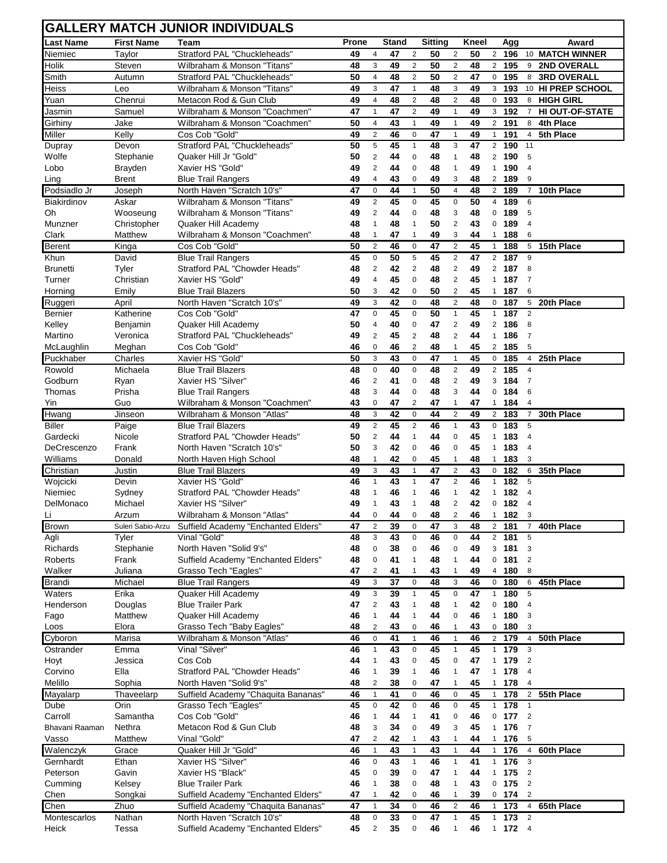### **GALLERY MATCH JUNIOR INDIVIDUALS**

|                     |                      | <b>GALLERY MATCH JUNIOR INDIVIDUALS</b>               |          |                              |              |                              |                |                                |          |                              |                         |                              |
|---------------------|----------------------|-------------------------------------------------------|----------|------------------------------|--------------|------------------------------|----------------|--------------------------------|----------|------------------------------|-------------------------|------------------------------|
| <b>Last Name</b>    | <b>First Name</b>    | Team                                                  | Prone    |                              | <b>Stand</b> |                              | <b>Sitting</b> |                                | Kneel    |                              | Agg                     | Award                        |
| Niemiec             | Taylor               | Stratford PAL "Chuckleheads"                          | 49       | 4                            | 47           | $\overline{2}$               | 50             | $\overline{2}$                 | 50       |                              | 2 196                   | 10 MATCH WINNER              |
| Holik               | Steven               | Wilbraham & Monson "Titans"                           | 48       | 3                            | 49           | $\overline{2}$               | 50             | $\overline{2}$                 | 48       |                              | 2 195                   | <b>2ND OVERALL</b><br>9      |
| Smith               | Autumn               | Stratford PAL "Chuckleheads"                          | 50       | $\overline{4}$               | 48           | $\overline{2}$               | 50             | $\overline{2}$                 | 47       | $\mathbf 0$                  | 195                     | <b>3RD OVERALL</b><br>8      |
| Heiss               | Leo                  | Wilbraham & Monson "Titans"                           | 49       | 3                            | 47           | $\mathbf{1}$                 | 48             | 3                              | 49       | 3                            | 193                     | 10 HI PREP SCHOOL            |
| Yuan                | Chenrui              | Metacon Rod & Gun Club                                | 49       | $\overline{\mathbf{4}}$      | 48           | $\overline{2}$               | 48             | $\overline{2}$                 | 48       | $\mathbf 0$                  | 193                     | <b>HIGH GIRL</b><br>8        |
| Jasmin              | Samuel               | Wilbraham & Monson "Coachmen"                         | 47       | $\mathbf{1}$                 | 47           | $\sqrt{2}$                   | 49             | $\mathbf{1}$                   | 49       | 3                            | 192                     | HI OUT-OF-STATE<br>7         |
| Girhiny             | Jake                 | Wilbraham & Monson "Coachmen"                         | 50       | 4                            | 43           | $\overline{1}$               | 49             | $\mathbf{1}$                   | 49       | $\overline{2}$               | 191                     | 4th Place<br>8               |
| Miller              | Kelly                | Cos Cob "Gold"                                        | 49       | $\overline{2}$               | 46           | $\mathbf 0$                  | 47             | $\mathbf{1}$                   | 49       | $\mathbf{1}$                 | 191<br>$\overline{190}$ | 5th Place<br>$\overline{4}$  |
| Dupray<br>Wolfe     | Devon<br>Stephanie   | Stratford PAL "Chuckleheads"<br>Quaker Hill Jr "Gold" | 50<br>50 | 5<br>$\sqrt{2}$              | 45<br>44     | $\mathbf{1}$<br>0            | 48<br>48       | 3<br>$\mathbf{1}$              | 47<br>48 | $\overline{2}$               | 2 190                   | 11<br>5                      |
| Lobo                | Brayden              | Xavier HS "Gold"                                      | 49       | $\sqrt{2}$                   | 44           | $\mathbf 0$                  | 48             | $\mathbf{1}$                   | 49       | $\mathbf{1}$                 | 190                     | $\overline{4}$               |
| Ling                | <b>Brent</b>         | <b>Blue Trail Rangers</b>                             | 49       | 4                            | 43           | $\pmb{0}$                    | 49             | 3                              | 48       |                              | 2 189                   | 9                            |
| Podsiadlo Jr        | Joseph               | North Haven "Scratch 10's"                            | 47       | $\pmb{0}$                    | 44           | $\mathbf{1}$                 | 50             | $\overline{4}$                 | 48       |                              | 2 189                   | 10th Place<br>$\overline{7}$ |
| Biakirdinov         | Askar                | Wilbraham & Monson "Titans"                           | 49       | $\overline{c}$               | 45           | $\mathbf 0$                  | 45             | $\mathbf 0$                    | 50       | $\overline{4}$               | 189                     | 6                            |
| Oh                  | Wooseung             | Wilbraham & Monson "Titans"                           | 49       | $\overline{2}$               | 44           | $\pmb{0}$                    | 48             | 3                              | 48       | 0                            | 189                     | 5                            |
| Munzner             | Christopher          | Quaker Hill Academy                                   | 48       | $\mathbf{1}$                 | 48           | $\mathbf{1}$                 | 50             | $\overline{2}$                 | 43       | $\mathbf 0$                  | 189                     | $\overline{4}$               |
| Clark               | Matthew              | Wilbraham & Monson "Coachmen"                         | 48       | 1                            | 47           | 1                            | 49             | 3                              | 44       | $\mathbf{1}$                 | 188                     | 6                            |
| Berent              | Kinga                | Cos Cob "Gold"                                        | 50       | $\boldsymbol{2}$             | 46           | 0                            | 47             | $\overline{2}$                 | 45       | $\mathbf{1}$                 | 188                     | 15th Place<br>5              |
| Khun                | David                | <b>Blue Trail Rangers</b>                             | 45       | $\mathsf 0$                  | 50           | 5                            | 45             | $\sqrt{2}$                     | 47       | $\overline{2}$               | 187                     | 9                            |
| <b>Brunetti</b>     | Tyler                | Stratford PAL "Chowder Heads"                         | 48       | $\overline{2}$               | 42           | $\overline{2}$               | 48             | $\sqrt{2}$                     | 49       |                              | 2 187                   | 8                            |
| Turner              | Christian            | Xavier HS "Gold"                                      | 49       | $\overline{\mathbf{4}}$      | 45           | $\pmb{0}$                    | 48             | $\overline{2}$                 | 45       | $\mathbf{1}$                 | 187                     | $\overline{7}$               |
| Horning             | Emily                | <b>Blue Trail Blazers</b>                             | 50       | 3                            | 42           | 0                            | 50             | $\sqrt{2}$                     | 45       | $\mathbf{1}$                 | 187                     | 6                            |
| Ruggeri             | April                | North Haven "Scratch 10's"                            | 49       | 3                            | 42           | $\mathbf 0$                  | 48             | $\overline{2}$                 | 48       | $\mathbf 0$                  | 187                     | 20th Place<br>5              |
| Bernier             | Katherine            | Cos Cob "Gold"                                        | 47       | $\pmb{0}$                    | 45           | 0<br>$\mathbf 0$             | 50<br>47       | $\mathbf{1}$<br>$\sqrt{2}$     | 45       | $\mathbf{1}$                 | 187<br>2 186            | $\overline{2}$               |
| Kelley<br>Martino   | Benjamin<br>Veronica | Quaker Hill Academy<br>Stratford PAL "Chuckleheads"   | 50<br>49 | 4<br>$\sqrt{2}$              | 40<br>45     | $\overline{\mathbf{c}}$      | 48             | $\overline{2}$                 | 49<br>44 | $\mathbf{1}$                 | 186                     | 8<br>$\overline{7}$          |
| McLaughlin          | Meghan               | Cos Cob "Gold"                                        | 46       | 0                            | 46           | $\overline{2}$               | 48             | $\mathbf{1}$                   | 45       |                              | 2 185                   | 5                            |
| Puckhaber           | Charles              | Xavier HS "Gold"                                      | 50       | 3                            | 43           | $\mathbf 0$                  | 47             | $\mathbf{1}$                   | 45       | $\mathbf 0$                  | 185                     | 25th Place<br>$\overline{4}$ |
| Rowold              | Michaela             | <b>Blue Trail Blazers</b>                             | 48       | $\mathbf 0$                  | 40           | $\pmb{0}$                    | 48             | $\sqrt{2}$                     | 49       | $\overline{2}$               | 185                     | $\overline{4}$               |
| Godburn             | Ryan                 | Xavier HS "Silver"                                    | 46       | $\overline{c}$               | 41           | 0                            | 48             | $\sqrt{2}$                     | 49       |                              | 3 184                   | $\overline{7}$               |
| Thomas              | Prisha               | <b>Blue Trail Rangers</b>                             | 48       | 3                            | 44           | $\mathbf 0$                  | 48             | 3                              | 44       | 0                            | 184                     | 6                            |
| Yin                 | Guo                  | Wilbraham & Monson "Coachmen"                         | 43       | 0                            | 47           | $\sqrt{2}$                   | 47             | $\mathbf{1}$                   | 47       | $\mathbf{1}$                 | 184                     | $\overline{4}$               |
| Hwang               | Jinseon              | Wilbraham & Monson "Atlas"                            | 48       | 3                            | 42           | $\pmb{0}$                    | 44             | $\sqrt{2}$                     | 49       | $\overline{2}$               | 183                     | 30th Place<br>$\overline{7}$ |
| <b>Biller</b>       | Paige                | <b>Blue Trail Blazers</b>                             | 49       | $\sqrt{2}$                   | 45           | $\overline{2}$               | 46             | $\mathbf{1}$                   | 43       | $\mathbf 0$                  | 183                     | 5                            |
| Gardecki            | Nicole               | Stratford PAL "Chowder Heads"                         | 50       | $\sqrt{2}$                   | 44           | $\mathbf{1}$                 | 44             | 0                              | 45       | $\mathbf{1}$                 | 183                     | $\overline{4}$               |
| DeCrescenzo         | Frank                | North Haven "Scratch 10's"                            | 50       | 3                            | 42           | $\pmb{0}$                    | 46             | $\mathbf 0$                    | 45       | $\mathbf{1}$                 | 183                     | $\overline{4}$               |
| Williams            | Donald               | North Haven High School                               | 48       | 1                            | 42           | 0                            | 45             | $\mathbf{1}$                   | 48       | $\mathbf{1}$                 | 183                     | 3                            |
| Christian           | Justin               | <b>Blue Trail Blazers</b>                             | 49       | 3                            | 43           | 1                            | 47             | $\overline{c}$                 | 43       | $\mathbf 0$                  | 182                     | 35th Place<br>6              |
| Wojcicki<br>Niemiec | Devin                | Xavier HS "Gold"<br>Stratford PAL "Chowder Heads"     | 46<br>48 | $\mathbf{1}$<br>$\mathbf{1}$ | 43<br>46     | $\mathbf{1}$<br>$\mathbf{1}$ | 47<br>46       | $\overline{c}$<br>$\mathbf{1}$ | 46<br>42 | $\mathbf{1}$<br>$\mathbf{1}$ | 182<br>182              | 5<br>$\overline{4}$          |
| DelMonaco           | Sydney<br>Michael    | Xavier HS "Silver"                                    | 49       | $\mathbf{1}$                 | 43           | $\mathbf{1}$                 | 48             | 2                              | 42       | $\mathbf{0}$                 | 182                     | $\overline{4}$               |
| <u>Li</u>           | Arzum                | Wilbraham & Monson "Atlas"                            | 44       | 0                            | 44           | 0                            | 48             | 2                              | 46       | $\mathbf{1}$                 | 182                     | 3                            |
| <b>Brown</b>        | Suleri Sabio-Arzu    | Suffield Academy "Enchanted Elders"                   | 47       | $\overline{2}$               | 39           | $\mathsf 0$                  | 47             | 3                              | 48       |                              | 2 181                   | 40th Place<br>$\overline{7}$ |
| Agli                | Tyler                | Vinal "Gold"                                          | 48       | $\mathbf{3}$                 | 43           | $\mathbf 0$                  | 46             | $\pmb{0}$                      | 44       |                              | 2 181                   | 5                            |
| Richards            | Stephanie            | North Haven "Solid 9's"                               | 48       | $\pmb{0}$                    | 38           | $\pmb{0}$                    | 46             | $\mathsf 0$                    | 49       |                              | 3 181                   | 3                            |
| Roberts             | Frank                | Suffield Academy "Enchanted Elders"                   | 48       | $\pmb{0}$                    | 41           | $\mathbf{1}$                 | 48             | $\mathbf{1}$                   | 44       | $\mathbf 0$                  | 181                     | $\overline{c}$               |
| Walker              | Juliana              | Grasso Tech "Eagles"                                  | 47       | $\overline{c}$               | 41           | $\mathbf{1}$                 | 43             | $\mathbf{1}$                   | 49       | $\overline{4}$               | 180                     | 8                            |
| <b>Brandi</b>       | Michael              | <b>Blue Trail Rangers</b>                             | 49       | 3                            | 37           | $\mathbf 0$                  | 48             | 3                              | 46       | $\mathbf 0$                  | 180                     | 45th Place<br>6              |
| Waters              | Erika                | Quaker Hill Academy                                   | 49       | $\mathbf{3}$                 | 39           | $\mathbf{1}$                 | 45             | $\mathsf{O}\xspace$            | 47       | $\mathbf{1}$                 | 180                     | 5                            |
| Henderson           | Douglas              | <b>Blue Trailer Park</b>                              | 47       | $\overline{c}$               | 43           | $\mathbf{1}$                 | 48             | $\mathbf{1}$                   | 42       | 0                            | 180                     | $\overline{4}$               |
| Fago                | Matthew              | Quaker Hill Academy                                   | 46       | 1                            | 44           | $\mathbf{1}$                 | 44             | $\pmb{0}$                      | 46       | $\mathbf{1}$                 | 180                     | 3                            |
| Loos                | Elora                | Grasso Tech "Baby Eagles"                             | 48       | $\overline{\mathbf{c}}$      | 43           | 0                            | 46             | $\mathbf{1}$                   | 43       | 0                            | 180                     | 3                            |
| Cyboron             | Marisa               | Wilbraham & Monson "Atlas"                            | 46       | $\pmb{0}$                    | 41<br>43     | $\mathbf{1}$                 | 46             | $\mathbf{1}$                   | 46       | $\overline{2}$               | 179                     | 50th Place<br>4              |
| Ostrander           | Emma                 | Vinal "Silver"<br>Cos Cob                             | 46       | $\mathbf{1}$                 |              | $\mathsf 0$<br>0             | 45<br>45       | $\mathbf{1}$<br>$\mathbf 0$    | 45<br>47 | $\mathbf{1}$                 | 179<br>1 179            | 3<br>$\overline{2}$          |
| Hoyt<br>Corvino     | Jessica<br>Ella      | Stratford PAL "Chowder Heads"                         | 44<br>46 | $\mathbf{1}$<br>$\mathbf{1}$ | 43<br>39     | $\mathbf{1}$                 | 46             | $\mathbf{1}$                   | 47       | $\mathbf{1}$                 | 178                     | $\overline{4}$               |
| Melillo             | Sophia               | North Haven "Solid 9's"                               | 48       | $\overline{2}$               | 38           | 0                            | 47             | $\mathbf{1}$                   | 45       | $\mathbf{1}$                 | 178                     | 4                            |
| Mayalarp            | Thaveelarp           | Suffield Academy "Chaquita Bananas"                   | 46       | $\mathbf{1}$                 | 41           | $\mathsf 0$                  | 46             | $\mathsf 0$                    | 45       | $\mathbf{1}$                 | 178                     | 55th Place<br>$\overline{2}$ |
| Dube                | Orin                 | Grasso Tech "Eagles"                                  | 45       | $\mathbf 0$                  | 42           | $\pmb{0}$                    | 46             | $\mathsf 0$                    | 45       | $\mathbf{1}$                 | 178                     | $\overline{1}$               |
| Carroll             | Samantha             | Cos Cob "Gold"                                        | 46       | $\mathbf{1}$                 | 44           | $\mathbf{1}$                 | 41             | $\mathsf 0$                    | 46       | $\mathbf 0$                  | 177                     | $\overline{2}$               |
| Bhavani Raaman      | Nethra               | Metacon Rod & Gun Club                                | 48       | 3                            | 34           | $\pmb{0}$                    | 49             | 3                              | 45       | $\mathbf{1}$                 | 176                     | $\overline{7}$               |
| Vasso               | Matthew              | Vinal "Gold"                                          | 47       | 2                            | 42           | $\mathbf{1}$                 | 43             | $\mathbf{1}$                   | 44       | $\mathbf{1}$                 | 176                     | 5                            |
| Walenczyk           | Grace                | Quaker Hill Jr "Gold"                                 | 46       | $\mathbf{1}$                 | 43           | $\mathbf{1}$                 | 43             | $\mathbf{1}$                   | 44       | $\mathbf{1}$                 | 176                     | 60th Place<br>$\overline{4}$ |
| Gernhardt           | Ethan                | Xavier HS "Silver"                                    | 46       | $\mathbf 0$                  | 43           | $\mathbf{1}$                 | 46             | $\mathbf{1}$                   | 41       | $\mathbf{1}$                 | 176                     | 3                            |
| Peterson            | Gavin                | Xavier HS "Black"                                     | 45       | $\mathbf 0$                  | 39           | $\pmb{0}$                    | 47             | $\mathbf{1}$                   | 44       | 1                            | 175                     | $\overline{2}$               |
| Cumming             | Kelsey               | <b>Blue Trailer Park</b>                              | 46       | 1                            | 38           | $\pmb{0}$                    | 48             | $\mathbf{1}$                   | 43       | $\mathbf 0$                  | 175                     | $\overline{2}$               |
| Chen                | Songkai              | Suffield Academy "Enchanted Elders"                   | 47       | 1                            | 42           | 0                            | 46             | $\mathbf{1}$                   | 39       | $\mathbf 0$                  | 174                     | $\overline{2}$               |
| Chen                | Zhuo                 | Suffield Academy "Chaquita Bananas"                   | 47       | $\mathbf{1}$                 | 34           | $\mathsf 0$                  | 46             | $\sqrt{2}$                     | 46       | $\mathbf{1}$                 | 173                     | 65th Place<br>$\overline{4}$ |
| Montescarlos        | Nathan               | North Haven "Scratch 10's"                            | 48       | $\pmb{0}$                    | 33           | $\pmb{0}$                    | 47             | $\mathbf{1}$                   | 45       | $\mathbf{1}$                 | 173                     | $\overline{2}$               |
| Heick               | Tessa                | Suffield Academy "Enchanted Elders"                   | 45       | $\overline{c}$               | 35           | 0                            | 46             | $\mathbf{1}$                   | 46       |                              | $1$ 172 4               |                              |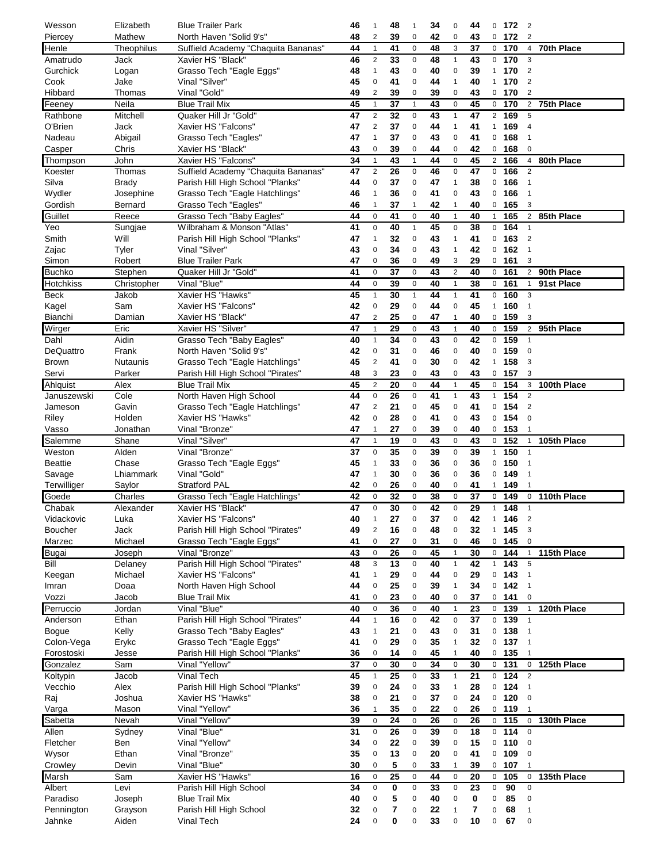| Wesson         | Elizabeth    | <b>Blue Trailer Park</b>              | 46 | $\mathbf{1}$   | 48 | $\mathbf{1}$   | 34 | 0                       | 44          |                         | $0$ 172 | $\overline{2}$ |              |
|----------------|--------------|---------------------------------------|----|----------------|----|----------------|----|-------------------------|-------------|-------------------------|---------|----------------|--------------|
| Piercey        | Mathew       | North Haven "Solid 9's"               | 48 | 2              | 39 | 0              | 42 | 0                       | 43          |                         | $0$ 172 | $\overline{2}$ |              |
| Henle          | Theophilus   | Suffield Academy "Chaquita Bananas"   | 44 | $\mathbf{1}$   | 41 | $\mathbf 0$    | 48 | 3                       | 37          |                         | $0$ 170 | $\overline{4}$ | 70th Place   |
| Amatrudo       | Jack         | Xavier HS "Black"                     | 46 | 2              | 33 | 0              | 48 | $\mathbf{1}$            | 43          |                         | 0, 170  | 3              |              |
|                |              |                                       |    |                |    |                |    |                         |             |                         |         |                |              |
| Gurchick       | Logan        | Grasso Tech "Eagle Eggs"              | 48 | $\mathbf{1}$   | 43 | $\mathbf 0$    | 40 | 0                       | 39          |                         | 1 170   | $\overline{2}$ |              |
| Cook           | Jake         | Vinal "Silver"                        | 45 | $\mathbf 0$    | 41 | $\mathbf 0$    | 44 | $\mathbf{1}$            | 40          | 1                       | 170     | $\overline{2}$ |              |
| Hibbard        | Thomas       | Vinal "Gold"                          | 49 | $\overline{c}$ | 39 | $\mathbf 0$    | 39 | 0                       | 43          |                         | $0$ 170 | $\overline{2}$ |              |
| Feeney         | Neila        | <b>Blue Trail Mix</b>                 | 45 | $\mathbf{1}$   | 37 | $\mathbf{1}$   | 43 | 0                       | 45          |                         | $0$ 170 | 2              | 75th Place   |
| Rathbone       | Mitchell     | Quaker Hill Jr "Gold"                 | 47 | $\overline{c}$ | 32 | $\mathbf 0$    | 43 | $\mathbf{1}$            | 47          |                         | 2 169   | 5              |              |
| O'Brien        | Jack         | Xavier HS "Falcons"                   | 47 | $\sqrt{2}$     | 37 | $\mathbf 0$    | 44 | $\mathbf{1}$            | 41          | $\mathbf{1}$            | 169     | $\overline{4}$ |              |
|                |              |                                       |    |                |    |                |    |                         |             |                         |         |                |              |
| Nadeau         | Abigail      | Grasso Tech "Eagles"                  | 47 | $\mathbf{1}$   | 37 | $\mathbf 0$    | 43 | 0                       | 41          |                         | 0, 168  | $\overline{1}$ |              |
| Casper         | Chris        | Xavier HS "Black"                     | 43 | $\mathbf 0$    | 39 | 0              | 44 | 0                       | 42          |                         | $0$ 168 | $\mathbf 0$    |              |
| Thompson       | John         | Xavier HS "Falcons"                   | 34 | $\mathbf{1}$   | 43 | $\mathbf{1}$   | 44 | $\pmb{0}$               | 45          |                         | 2, 166  | $\overline{4}$ | 80th Place   |
| Koester        | Thomas       | Suffield Academy "Chaquita Bananas"   | 47 | $\overline{2}$ | 26 | $\mathbf 0$    | 46 | $\mathsf 0$             | 47          | $\mathsf{O}\phantom{0}$ | 166     | $\overline{2}$ |              |
| Silva          | <b>Brady</b> | Parish Hill High School "Planks"      | 44 | $\mathbf 0$    | 37 | $\mathbf 0$    | 47 | $\mathbf{1}$            | 38          |                         | 0, 166  | $\overline{1}$ |              |
|                |              |                                       |    |                |    |                |    |                         |             |                         |         |                |              |
| Wydler         | Josephine    | Grasso Tech "Eagle Hatchlings"        | 46 | $\mathbf{1}$   | 36 | 0              | 41 | 0                       | 43          | 0                       | 166     | $\overline{1}$ |              |
| Gordish        | Bernard      | Grasso Tech "Eagles"                  | 46 | 1              | 37 | $\overline{1}$ | 42 | 1                       | 40          |                         | 0, 165  | 3              |              |
| Guillet        | Reece        | Grasso Tech "Baby Eagles"             | 44 | $\pmb{0}$      | 41 | $\mathbf 0$    | 40 | $\mathbf{1}$            | 40          | $\mathbf{1}$            | 165     | $\overline{2}$ | 85th Place   |
| Yeo            | Sungjae      | Wilbraham & Monson "Atlas"            | 41 | $\mathbf 0$    | 40 | $\mathbf{1}$   | 45 | $\pmb{0}$               | 38          |                         | 0, 164  | $\overline{1}$ |              |
| Smith          | Will         | Parish Hill High School "Planks"      | 47 | $\mathbf{1}$   | 32 | $\mathbf 0$    | 43 | $\mathbf{1}$            | 41          | $\mathbf{0}$            | 163     | $\overline{2}$ |              |
|                |              |                                       |    |                |    |                |    |                         |             |                         |         |                |              |
| Zajac          | Tyler        | Vinal "Silver"                        | 43 | $\mathbf 0$    | 34 | $\mathbf 0$    | 43 | $\mathbf{1}$            | 42          |                         | 0, 162  | $\overline{1}$ |              |
| Simon          | Robert       | <b>Blue Trailer Park</b>              | 47 | 0              | 36 | 0              | 49 | 3                       | 29          |                         | 0, 161  | 3              |              |
| <b>Buchko</b>  | Stephen      | Quaker Hill Jr "Gold"                 | 41 | $\mathbf 0$    | 37 | $\mathbf 0$    | 43 | $\overline{\mathbf{c}}$ | 40          |                         | 0, 161  |                | 2 90th Place |
| Hotchkiss      | Christopher  | Vinal "Blue"                          | 44 | $\mathbf 0$    | 39 | $\mathbf 0$    | 40 | $\mathbf{1}$            | 38          |                         | 0, 161  | $\mathbf{1}$   | 91st Place   |
| Beck           | Jakob        | Xavier HS "Hawks"                     | 45 | $\mathbf{1}$   | 30 | $\mathbf{1}$   | 44 | $\mathbf{1}$            | 41          |                         | 0, 160  | 3              |              |
|                |              |                                       |    |                |    |                |    |                         |             |                         |         |                |              |
| Kagel          | Sam          | Xavier HS "Falcons"                   | 42 | $\pmb{0}$      | 29 | $\mathbf 0$    | 44 | $\pmb{0}$               | 45          |                         | 1 160   | $\overline{1}$ |              |
| <b>Bianchi</b> | Damian       | Xavier HS "Black"                     | 47 | $\overline{2}$ | 25 | $\mathbf 0$    | 47 | $\mathbf{1}$            | 40          |                         | 0, 159  | 3              |              |
| Wirger         | Eric         | Xavier HS "Silver"                    | 47 | $\mathbf{1}$   | 29 | $\mathsf 0$    | 43 | $\mathbf{1}$            | 40          | $\mathbf{0}$            | 159     | $\overline{2}$ | 95th Place   |
| Dahl           | Aidin        | Grasso Tech "Baby Eagles"             | 40 | $\mathbf{1}$   | 34 | $\mathbf 0$    | 43 | $\mathsf 0$             | 42          | $\mathbf 0$             | 159     | $\mathbf{1}$   |              |
| DeQuattro      | Frank        | North Haven "Solid 9's"               | 42 | 0              | 31 | $\mathbf 0$    | 46 | 0                       | 40          |                         | 0, 159  | $\mathbf 0$    |              |
| <b>Brown</b>   | Nutaunis     | Grasso Tech "Eagle Hatchlings"        | 45 | $\sqrt{2}$     | 41 | $\mathbf 0$    | 30 | $\mathbf 0$             | 42          | $\mathbf{1}$            | 158     | 3              |              |
|                |              |                                       |    |                |    |                |    |                         |             |                         |         |                |              |
| Servi          | Parker       | Parish Hill High School "Pirates"     | 48 | 3              | 23 | 0              | 43 | 0                       | 43          |                         | 0, 157  | 3              |              |
| Ahlquist       | Alex         | <b>Blue Trail Mix</b>                 | 45 | $\sqrt{2}$     | 20 | $\mathbf 0$    | 44 | $\mathbf{1}$            | 45          |                         | $0$ 154 | 3              | 100th Place  |
| Januszewski    | Cole         | North Haven High School               | 44 | 0              | 26 | $\mathbf 0$    | 41 | $\mathbf{1}$            | 43          | $\mathbf{1}$            | 154     | $\overline{2}$ |              |
| Jameson        | Gavin        | Grasso Tech "Eagle Hatchlings"        | 47 | 2              | 21 | $\mathbf 0$    | 45 | 0                       | 41          | $\mathbf 0$             | 154     | $\overline{2}$ |              |
| Riley          | Holden       | Xavier HS "Hawks"                     | 42 | $\mathbf 0$    | 28 | $\mathbf 0$    | 41 | 0                       | 43          |                         | $0$ 154 | $\mathbf 0$    |              |
|                |              |                                       |    |                |    |                |    |                         |             |                         |         |                |              |
| Vasso          | Jonathan     | Vinal "Bronze"                        | 47 | $\mathbf{1}$   | 27 | $\mathbf 0$    | 39 | 0                       | 40          |                         | 0, 153  | $\overline{1}$ |              |
| Salemme        | Shane        | Vinal "Silver"                        | 47 | $\mathbf{1}$   | 19 | $\mathbf 0$    | 43 | $\mathbf 0$             | 43          |                         | $0$ 152 | $\mathbf{1}$   | 105th Place  |
| Weston         | Alden        | Vinal "Bronze"                        | 37 | $\mathbf 0$    | 35 | 0              | 39 | $\mathbf 0$             | 39          | $\ddot{1}$              | 150     | $\overline{1}$ |              |
| <b>Beattie</b> | Chase        | Grasso Tech "Eagle Eggs"              | 45 | $\mathbf{1}$   | 33 | $\mathbf 0$    | 36 | 0                       | 36          |                         | 0, 150  | $\overline{1}$ |              |
| Savage         | Lhiammark    | Vinal "Gold"                          | 47 | $\mathbf{1}$   | 30 | $\mathbf 0$    | 36 | $\pmb{0}$               | 36          |                         | $0$ 149 | $\overline{1}$ |              |
|                |              |                                       |    |                |    |                |    |                         |             |                         |         |                |              |
| Terwilliger    | Saylor       | <b>Stratford PAL</b>                  | 42 | 0              | 26 | $\mathbf 0$    | 40 | 0                       | 41          | $\mathbf{1}$            | 149     | -1             |              |
| Goede          | Charles      | Grasso Tech "Eagle Hatchlings"        | 42 | $\pmb{0}$      | 32 | $\mathbf 0$    | 38 | 0                       | 37          |                         | 0, 149  | $\mathsf 0$    | 110th Place  |
| Chabak         | Alexander    | Xavier HS "Black"                     | 47 | $\mathbf 0$    | 30 | $\mathbf 0$    | 42 | 0                       | 29          | $\mathbf{1}$            | 148     | $\overline{1}$ |              |
| Vidackovic     | Luka         | Xavier HS "Falcons"                   | 40 | $\mathbf{1}$   | 27 | $\mathbf 0$    | 37 | 0                       | 42          | $\mathbf{1}$            | 146     | $\overline{2}$ |              |
| <b>Boucher</b> | Jack         | Parish Hill High School "Pirates"     | 49 | $\sqrt{2}$     | 16 | $\pmb{0}$      | 48 | 0                       | 32          | $\mathbf{1}$            | 145     | $\mathsf 3$    |              |
| Marzec         | Michael      |                                       | 41 | $\pmb{0}$      | 27 | $\mathbf 0$    | 31 | 0                       | 46          |                         | 0, 145  | $\mathbf 0$    |              |
|                |              | Grasso Tech "Eagle Eggs"              |    |                |    |                |    |                         |             |                         |         |                |              |
| <b>Bugai</b>   | Joseph       | Vinal "Bronze"                        | 43 | $\pmb{0}$      | 26 | $\pmb{0}$      | 45 | $\mathbf{1}$            | 30          |                         | 0, 144  | $\overline{1}$ | 115th Place  |
| Bill           | Delaney      | Parish Hill High School "Pirates"     | 48 | $\mathsf 3$    | 13 | $\pmb{0}$      | 40 | $\mathbf{1}$            | 42          | $\mathbf{1}$            | 143     | 5              |              |
| Keegan         | Michael      | Xavier HS "Falcons"                   | 41 | $\mathbf{1}$   | 29 | $\pmb{0}$      | 44 | $\mathbf 0$             | 29          |                         | $0$ 143 | $\overline{1}$ |              |
| Imran          | Doaa         | North Haven High School               | 44 | $\pmb{0}$      | 25 | $\mathbf 0$    | 39 | $\mathbf{1}$            | 34          |                         | $0$ 142 | $\overline{1}$ |              |
| Vozzi          |              | <b>Blue Trail Mix</b>                 | 41 | $\pmb{0}$      | 23 | $\mathbf 0$    | 40 | $\mathbf 0$             | 37          |                         | $0$ 141 | $\mathbf 0$    |              |
|                | Jacob        |                                       |    |                |    |                |    |                         |             |                         |         |                |              |
| Perruccio      | Jordan       | Vinal "Blue"                          | 40 | $\pmb{0}$      | 36 | $\mathbf 0$    | 40 | $\mathbf{1}$            | 23          |                         | $0$ 139 | $\mathbf{1}$   | 120th Place  |
| Anderson       | Ethan        | Parish Hill High School "Pirates"     | 44 | $\mathbf{1}$   | 16 | $\mathbf 0$    | 42 | $\pmb{0}$               | 37          |                         | $0$ 139 | $\overline{1}$ |              |
| Bogue          | Kelly        | Grasso Tech "Baby Eagles"             | 43 | $\mathbf{1}$   | 21 | $\mathbf 0$    | 43 | $\pmb{0}$               | 31          |                         | $0$ 138 | $\overline{1}$ |              |
| Colon-Vega     | Erykc        | Grasso Tech "Eagle Eggs"              | 41 | $\pmb{0}$      | 29 | $\mathbf 0$    | 35 | $\mathbf{1}$            | 32          |                         | $0$ 137 | $\overline{1}$ |              |
| Forostoski     | Jesse        | Parish Hill High School "Planks"      | 36 | $\pmb{0}$      | 14 | 0              | 45 | $\mathbf{1}$            | 40          |                         | $0$ 135 | $\mathbf{1}$   |              |
|                |              |                                       |    |                |    |                |    |                         |             |                         |         |                |              |
| Gonzalez       | Sam          | Vinal "Yellow"                        | 37 | $\mathbf 0$    | 30 | $\mathbf 0$    | 34 | $\pmb{0}$               | 30          |                         | $0$ 131 | 0              | 125th Place  |
| Koltypin       | Jacob        | Vinal Tech                            | 45 | $\mathbf{1}$   | 25 | $\mathbf 0$    | 33 | $\mathbf{1}$            | 21          |                         | $0$ 124 | $\overline{2}$ |              |
| Vecchio        | Alex         | Parish Hill High School "Planks"      | 39 | $\pmb{0}$      | 24 | $\mathbf 0$    | 33 | $\mathbf{1}$            | 28          |                         | $0$ 124 | $\overline{1}$ |              |
| Raj            | Joshua       | Xavier HS "Hawks"                     | 38 | $\mathbf 0$    | 21 | $\mathbf 0$    | 37 | 0                       | 24          |                         | $0$ 120 | $\mathbf 0$    |              |
| Varga          | Mason        | Vinal "Yellow"                        | 36 | $\mathbf{1}$   | 35 | $\mathbf 0$    | 22 | 0                       | 26          |                         | $0$ 119 | $\overline{1}$ |              |
|                |              |                                       |    |                |    |                |    |                         |             |                         |         |                |              |
| Sabetta        | Nevah        | Vinal "Yellow"                        | 39 | $\mathsf 0$    | 24 | $\mathbf 0$    | 26 | $\mathbf 0$             | 26          |                         | $0$ 115 | $\mathbf 0$    | 130th Place  |
|                |              |                                       | 31 | $\pmb{0}$      | 26 | $\mathbf 0$    | 39 | $\mathsf{O}\xspace$     |             |                         | $0$ 114 | $\mathbf 0$    |              |
| Allen          | Sydney       | Vinal "Blue"                          |    |                |    |                |    |                         | 18          |                         |         |                |              |
| Fletcher       | Ben          | Vinal "Yellow"                        | 34 | $\pmb{0}$      | 22 | $\mathbf 0$    | 39 | $\pmb{0}$               | 15          |                         | $0$ 110 | $\mathbf 0$    |              |
|                | Ethan        | Vinal "Bronze"                        | 35 | $\pmb{0}$      | 13 | $\mathbf 0$    | 20 | $\mathbf 0$             | 41          |                         | $0$ 109 | $\mathbf 0$    |              |
| Wysor          |              |                                       |    |                |    |                |    |                         |             |                         |         |                |              |
| Crowley        | Devin        | Vinal "Blue"                          | 30 | $\pmb{0}$      | 5  | $\pmb{0}$      | 33 | $\mathbf{1}$            | 39          |                         | $0$ 107 | $\overline{1}$ |              |
| Marsh          | Sam          | Xavier HS "Hawks"                     | 16 | $\pmb{0}$      | 25 | $\mathbf 0$    | 44 | 0                       | 20          |                         | $0$ 105 | 0              | 135th Place  |
| Albert         | Levi         | Parish Hill High School               | 34 | $\mathbf 0$    | 0  | $\pmb{0}$      | 33 | $\mathsf{O}\xspace$     | 23          | $\mathbf 0$             | 90      | 0              |              |
| Paradiso       | Joseph       | <b>Blue Trail Mix</b>                 | 40 | $\mathbf 0$    | 5  | $\mathbf 0$    | 40 | $\pmb{0}$               | $\mathbf 0$ | 0                       | 85      | $\mathbf 0$    |              |
| Pennington     | Grayson      |                                       | 32 | $\pmb{0}$      | 7  | $\pmb{0}$      | 22 | $\mathbf{1}$            | 7           | 0                       | 68      | $\mathbf{1}$   |              |
| Jahnke         | Aiden        | Parish Hill High School<br>Vinal Tech | 24 | $\pmb{0}$      | 0  | 0              | 33 | $\mathbf 0$             | 10          | 0                       | 67      | $\mathbf 0$    |              |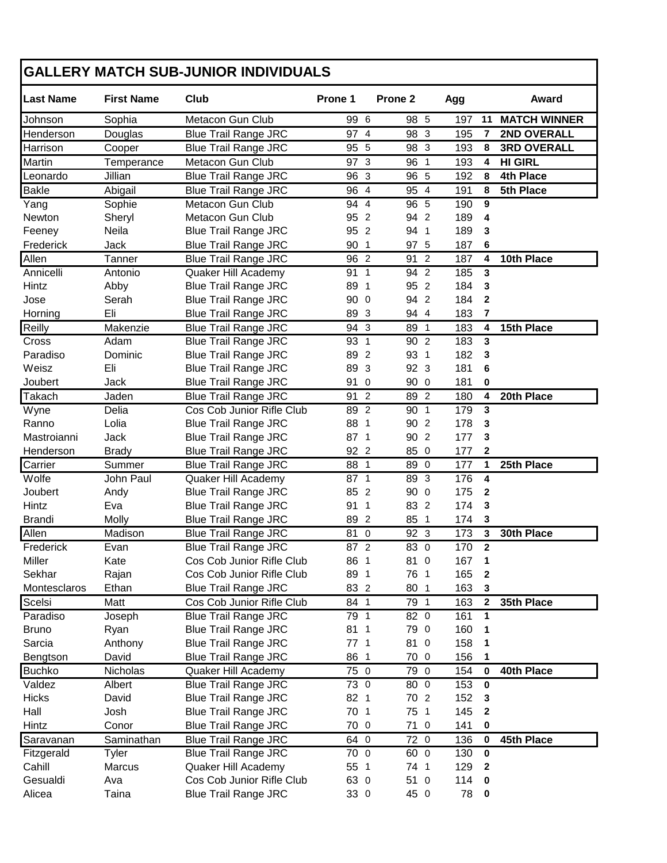## **GALLERY MATCH SUB-JUNIOR INDIVIDUALS**

| <b>Last Name</b> | <b>First Name</b> | Club                        | Prone 1          |                | Prone <sub>2</sub>   | Agg |              | Award               |
|------------------|-------------------|-----------------------------|------------------|----------------|----------------------|-----|--------------|---------------------|
| Johnson          | Sophia            | Metacon Gun Club            | 99 6             |                | 98 5                 | 197 | 11           | <b>MATCH WINNER</b> |
| Henderson        | Douglas           | <b>Blue Trail Range JRC</b> | 97 4             |                | 98 3                 | 195 | 7            | 2ND OVERALL         |
| Harrison         | Cooper            | <b>Blue Trail Range JRC</b> | 95               | $\overline{5}$ | 98 3                 | 193 | 8            | <b>3RD OVERALL</b>  |
| <b>Martin</b>    | Temperance        | Metacon Gun Club            | 97 3             |                | 96 1                 | 193 | 4            | <b>HI GIRL</b>      |
| Leonardo         | Jillian           | <b>Blue Trail Range JRC</b> | 96               | $\mathbf{3}$   | 96 5                 | 192 | 8            | <b>4th Place</b>    |
| <b>Bakle</b>     | Abigail           | <b>Blue Trail Range JRC</b> | 96               | $\overline{4}$ | 95 4                 | 191 | 8            | 5th Place           |
| Yang             | Sophie            | Metacon Gun Club            | $94\overline{4}$ |                | $96\overline{5}$     | 190 | 9            |                     |
| Newton           | Sheryl            | Metacon Gun Club            | 95 2             |                | 94 2                 | 189 | 4            |                     |
| Feeney           | Neila             | <b>Blue Trail Range JRC</b> | 95 2             |                | 94 1                 | 189 | 3            |                     |
| Frederick        | Jack              | <b>Blue Trail Range JRC</b> | 90 1             |                | 97 5                 | 187 | 6            |                     |
| Allen            | Tanner            | <b>Blue Trail Range JRC</b> | 96 2             |                | $\overline{2}$<br>91 | 187 | 4            | 10th Place          |
| Annicelli        | Antonio           | Quaker Hill Academy         | 91 1             |                | 94 2                 | 185 | 3            |                     |
| Hintz            | Abby              | <b>Blue Trail Range JRC</b> | 89 1             |                | 95 2                 | 184 | 3            |                     |
| Jose             | Serah             | <b>Blue Trail Range JRC</b> | 90               | $\mathbf 0$    | 94 2                 | 184 | $\mathbf{2}$ |                     |
| Horning          | Eli               | <b>Blue Trail Range JRC</b> | 89 3             |                | 94 4                 | 183 | 7            |                     |
| Reilly           | Makenzie          | <b>Blue Trail Range JRC</b> | 94 3             |                | 89 1                 | 183 | 4            | 15th Place          |
| Cross            | Adam              | <b>Blue Trail Range JRC</b> | $93\overline{1}$ |                | 90 2                 | 183 | 3            |                     |
| Paradiso         | Dominic           | <b>Blue Trail Range JRC</b> | 89 2             |                | 93 1                 | 182 | 3            |                     |
| Weisz            | Eli               | <b>Blue Trail Range JRC</b> | 89               | $\mathbf{3}$   | 92 3                 | 181 | 6            |                     |
| Joubert          | Jack              | <b>Blue Trail Range JRC</b> | 91               | $\mathbf 0$    | 90 0                 | 181 | 0            |                     |
| Takach           | Jaden             | <b>Blue Trail Range JRC</b> | 91               | $\overline{2}$ | 89 2                 | 180 | 4            | 20th Place          |
| Wyne             | Delia             | Cos Cob Junior Rifle Club   | 89 2             |                | 90 1                 | 179 | 3            |                     |
| Ranno            | Lolia             | <b>Blue Trail Range JRC</b> | 88               | -1             | 90 2                 | 178 | 3            |                     |
| Mastroianni      | Jack              | <b>Blue Trail Range JRC</b> | 87 1             |                | 90 2                 | 177 | 3            |                     |
| Henderson        | <b>Brady</b>      | <b>Blue Trail Range JRC</b> | 92 2             |                | 85 0                 | 177 | $\mathbf{2}$ |                     |
| Carrier          | Summer            | <b>Blue Trail Range JRC</b> | 88 1             |                | 89 0                 | 177 | 1            | 25th Place          |
| Wolfe            | John Paul         | Quaker Hill Academy         | $87\overline{1}$ |                | 89 3                 | 176 | 4            |                     |
| Joubert          | Andy              | <b>Blue Trail Range JRC</b> | 85               | $\overline{2}$ | 90 0                 | 175 | $\mathbf{2}$ |                     |
| Hintz            | Eva               | <b>Blue Trail Range JRC</b> | 91               | $\overline{1}$ | 83 2                 | 174 | 3            |                     |
| <b>Brandi</b>    | Molly             | <b>Blue Trail Range JRC</b> | 89               | $\overline{c}$ | 85 1                 | 174 | 3            |                     |
| Allen            | Madison           | <b>Blue Trail Range JRC</b> | 81 0             |                | 92 3                 | 173 | 3            | 30th Place          |
| Frederick        | Evan              | <b>Blue Trail Range JRC</b> | 87 2             |                | 83 0                 | 170 | $\mathbf{2}$ |                     |
| Miller           | Kate              | Cos Cob Junior Rifle Club   | 86 1             |                | 81<br>$\mathbf 0$    | 167 | 1            |                     |
| Sekhar           | Rajan             | Cos Cob Junior Rifle Club   | 89 1             |                | 76 1                 | 165 | $\bf 2$      |                     |
| Montesclaros     | Ethan             | <b>Blue Trail Range JRC</b> | 83 2             |                | 80 1                 | 163 | $\mathbf 3$  |                     |
| Scelsi           | Matt              | Cos Cob Junior Rifle Club   | 84 1             |                | 79 1                 | 163 | $\mathbf{2}$ | 35th Place          |
| Paradiso         | Joseph            | <b>Blue Trail Range JRC</b> | 79 1             |                | 82 0                 | 161 | 1            |                     |
| <b>Bruno</b>     | Ryan              | <b>Blue Trail Range JRC</b> | 81 1             |                | 79 0                 | 160 | 1            |                     |
| Sarcia           | Anthony           | <b>Blue Trail Range JRC</b> | 77 <sub>1</sub>  |                | 81<br>$\overline{0}$ | 158 | 1            |                     |
| Bengtson         | David             | <b>Blue Trail Range JRC</b> | 86 1             |                | 70 0                 | 156 | 1            |                     |
| <b>Buchko</b>    | Nicholas          | Quaker Hill Academy         | 75 0             |                | 79 0                 | 154 | 0            | 40th Place          |
| Valdez           | Albert            | <b>Blue Trail Range JRC</b> | 73 0             |                | 80 0                 | 153 | 0            |                     |
| <b>Hicks</b>     | David             | <b>Blue Trail Range JRC</b> | 82 1             |                | 70 2                 | 152 | 3            |                     |
| Hall             | Josh              | <b>Blue Trail Range JRC</b> | 70 1             |                | 75 1                 | 145 | 2            |                     |
| Hintz            | Conor             | <b>Blue Trail Range JRC</b> | 70 0             |                | 71 0                 | 141 | 0            |                     |
| Saravanan        | Saminathan        | <b>Blue Trail Range JRC</b> | 64 0             |                | 72 0                 | 136 | 0            | 45th Place          |
| Fitzgerald       | Tyler             | <b>Blue Trail Range JRC</b> | 70 0             |                | 60 0                 | 130 | 0            |                     |
| Cahill           | Marcus            | Quaker Hill Academy         | 55 1             |                | 74 1                 | 129 | $\mathbf{2}$ |                     |
| Gesualdi         | Ava               | Cos Cob Junior Rifle Club   | 63 0             |                | 51 0                 | 114 | 0            |                     |
| Alicea           | Taina             | <b>Blue Trail Range JRC</b> | 33 0             |                | 45 0                 | 78  | 0            |                     |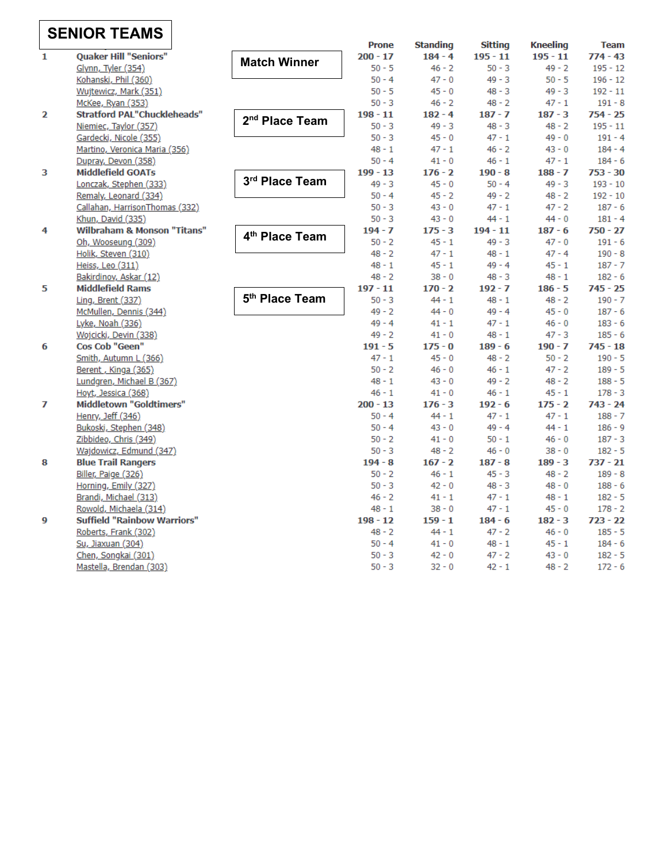# **SENIOR TEAMS**

|              | VII I LAIIIV                           |                            | <b>Prone</b> | <b>Standing</b> | <b>Sitting</b> | <b>Kneeling</b> | <b>Team</b> |
|--------------|----------------------------------------|----------------------------|--------------|-----------------|----------------|-----------------|-------------|
| $\mathbf{1}$ | <b>Quaker Hill "Seniors"</b>           | <b>Match Winner</b>        | $200 - 17$   | $184 - 4$       | $195 - 11$     | $195 - 11$      | $774 - 43$  |
|              | Glynn, Tyler (354)                     |                            | $50 - 5$     | $46 - 2$        | $50 - 3$       | $49 - 2$        | $195 - 12$  |
|              | Kohanski, Phil (360)                   |                            | $50 - 4$     | $47 - 0$        | $49 - 3$       | $50 - 5$        | $196 - 12$  |
|              | Wujtewicz, Mark (351)                  |                            | $50 - 5$     | $45 - 0$        | $48 - 3$       | $49 - 3$        | $192 - 11$  |
|              | McKee, Ryan (353)                      |                            | $50 - 3$     | $46 - 2$        | $48 - 2$       | $47 - 1$        | $191 - 8$   |
| 2            | <b>Stratford PAL"Chuckleheads"</b>     | 2 <sup>nd</sup> Place Team | $198 - 11$   | $182 - 4$       | $187 - 7$      | $187 - 3$       | $754 - 25$  |
|              | Niemiec, Taylor (357)                  |                            | $50 - 3$     | $49 - 3$        | $48 - 3$       | $48 - 2$        | $195 - 11$  |
|              | Gardecki, Nicole (355)                 |                            | $50 - 3$     | $45 - 0$        | $47 - 1$       | $49 - 0$        | $191 - 4$   |
|              | Martino, Veronica Maria (356)          |                            | $48 - 1$     | $47 - 1$        | $46 - 2$       | $43 - 0$        | $184 - 4$   |
|              | Dupray, Devon (358)                    |                            | $50 - 4$     | $41 - 0$        | $46 - 1$       | $47 - 1$        | $184 - 6$   |
| 3            | <b>Middlefield GOATs</b>               |                            | $199 - 13$   | $176 - 2$       | $190 - 8$      | $188 - 7$       | $753 - 30$  |
|              | Lonczak, Stephen (333)                 | 3rd Place Team             | $49 - 3$     | $45 - 0$        | $50 - 4$       | $49 - 3$        | $193 - 10$  |
|              | Remaly, Leonard (334)                  |                            | $50 - 4$     | $45 - 2$        | $49 - 2$       | $48 - 2$        | $192 - 10$  |
|              | Callahan, HarrisonThomas (332)         |                            | $50 - 3$     | $43 - 0$        | $47 - 1$       | $47 - 2$        | $187 - 6$   |
|              | Khun, David (335)                      |                            | $50 - 3$     | $43 - 0$        | $44 - 1$       | $44 - 0$        | $181 - 4$   |
| 4            | <b>Wilbraham &amp; Monson "Titans"</b> | 4 <sup>th</sup> Place Team | $194 - 7$    | $175 - 3$       | $194 - 11$     | $187 - 6$       | $750 - 27$  |
|              | Oh, Wooseung (309)                     |                            | $50 - 2$     | $45 - 1$        | $49 - 3$       | $47 - 0$        | $191 - 6$   |
|              | Holik, Steven (310)                    |                            | $48 - 2$     | $47 - 1$        | $48 - 1$       | $47 - 4$        | $190 - 8$   |
|              | Heiss, Leo (311)                       |                            | $48 - 1$     | $45 - 1$        | $49 - 4$       | $45 - 1$        | $187 - 7$   |
|              | Bakirdinov, Askar (12)                 |                            | $48 - 2$     | $38 - 0$        | $48 - 3$       | $48 - 1$        | $182 - 6$   |
| 5            | <b>Middlefield Rams</b>                |                            | $197 - 11$   | $170 - 2$       | $192 - 7$      | $186 - 5$       | $745 - 25$  |
|              | Ling, Brent $(337)$                    | 5 <sup>th</sup> Place Team | $50 - 3$     | $44 - 1$        | $48 - 1$       | $48 - 2$        | $190 - 7$   |
|              | McMullen, Dennis (344)                 |                            | $49 - 2$     | $44 - 0$        | $49 - 4$       | $45 - 0$        | $187 - 6$   |
|              | Lyke, Noah (336)                       |                            | $49 - 4$     | $41 - 1$        | $47 - 1$       | $46 - 0$        | $183 - 6$   |
|              | Wojcicki, Devin (338)                  |                            | $49 - 2$     | $41 - 0$        | $48 - 1$       | $47 - 3$        | $185 - 6$   |
| 6            | Cos Cob "Geen"                         |                            | $191 - 5$    | $175 - 0$       | $189 - 6$      | $190 - 7$       | $745 - 18$  |
|              | Smith, Autumn L (366)                  |                            | $47 - 1$     | $45 - 0$        | $48 - 2$       | $50 - 2$        | $190 - 5$   |
|              | Berent, Kinga (365)                    |                            | $50 - 2$     | $46 - 0$        | $46 - 1$       | $47 - 2$        | $189 - 5$   |
|              | Lundgren, Michael B (367)              |                            | $48 - 1$     | $43 - 0$        | $49 - 2$       | $48 - 2$        | $188 - 5$   |
|              | Hoyt, Jessica (368)                    |                            | $46 - 1$     | $41 - 0$        | $46 - 1$       | $45 - 1$        | $178 - 3$   |
| 7            | <b>Middletown "Goldtimers"</b>         |                            | $200 - 13$   | $176 - 3$       | $192 - 6$      | $175 - 2$       | $743 - 24$  |
|              | Henry, Jeff (346)                      |                            | $50 - 4$     | $44 - 1$        | $47 - 1$       | $47 - 1$        | $188 - 7$   |
|              | Bukoski, Stephen (348)                 |                            | $50 - 4$     | $43 - 0$        | $49 - 4$       | $44 - 1$        | $186 - 9$   |
|              | Zibbideo, Chris (349)                  |                            | $50 - 2$     | $41 - 0$        | $50 - 1$       | $46 - 0$        | $187 - 3$   |
|              | Wajdowicz, Edmund (347)                |                            | $50 - 3$     | $48 - 2$        | $46 - 0$       | $38 - 0$        | $182 - 5$   |
| 8            | <b>Blue Trail Rangers</b>              |                            | $194 - 8$    | $167 - 2$       | $187 - 8$      | $189 - 3$       | $737 - 21$  |
|              | Biller, Paige (326)                    |                            | $50 - 2$     | $46 - 1$        | $45 - 3$       | $48 - 2$        | $189 - 8$   |
|              | Horning, Emily (327)                   |                            | $50 - 3$     | $42 - 0$        | $48 - 3$       | $48 - 0$        | $188 - 6$   |
|              | Brandi, Michael (313)                  |                            | $46 - 2$     | $41 - 1$        | $47 - 1$       | $48 - 1$        | $182 - 5$   |
|              | Rowold, Michaela (314)                 |                            | $48 - 1$     | $38 - 0$        | $47 - 1$       | $45 - 0$        | $178 - 2$   |
| 9            | <b>Suffield "Rainbow Warriors"</b>     |                            | $198 - 12$   | $159 - 1$       | $184 - 6$      | $182 - 3$       | $723 - 22$  |
|              | Roberts, Frank (302)                   |                            | $48 - 2$     | $44 - 1$        | $47 - 2$       | $46 - 0$        | $185 - 5$   |
|              | Su, Jiaxuan (304)                      |                            | $50 - 4$     | $41 - 0$        | $48 - 1$       | $45 - 1$        | $184 - 6$   |
|              | Chen, Songkai (301)                    |                            | $50 - 3$     | $42 - 0$        | $47 - 2$       | $43 - 0$        | $182 - 5$   |
|              | Mastella, Brendan (303)                |                            | $50 - 3$     | $32 - 0$        | $42 - 1$       | $48 - 2$        | $172 - 6$   |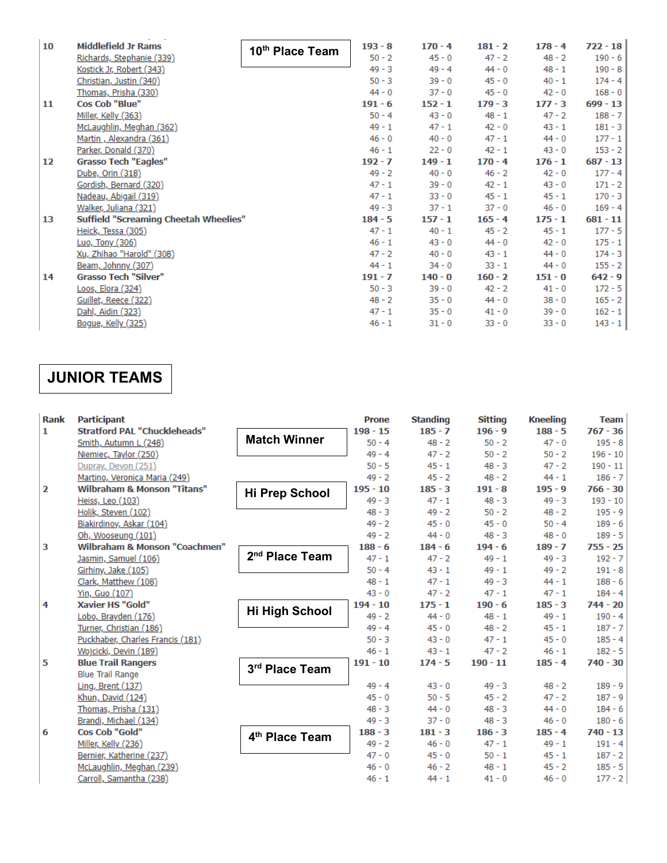| 10 | <b>Middlefield Jr Rams</b>                   | 10th Place Team | $193 - 8$ | $170 - 4$ | $181 - 2$ | $178 - 4$ | $722 - 18$ |
|----|----------------------------------------------|-----------------|-----------|-----------|-----------|-----------|------------|
|    | Richards, Stephanie (339)                    |                 | $50 - 2$  | $45 - 0$  | $47 - 2$  | $48 - 2$  | $190 - 6$  |
|    | Kostick Jr, Robert (343)                     |                 | $49 - 3$  | $49 - 4$  | $44 - 0$  | $48 - 1$  | $190 - 8$  |
|    | Christian, Justin (340)                      |                 | $50 - 3$  | $39 - 0$  | $45 - 0$  | $40 - 1$  | $174 - 4$  |
|    | Thomas, Prisha (330)                         |                 | $44 - 0$  | $37 - 0$  | $45 - 0$  | $42 - 0$  | $168 - 0$  |
| 11 | <b>Cos Cob "Blue"</b>                        |                 | $191 - 6$ | $152 - 1$ | $179 - 3$ | $177 - 3$ | $699 - 13$ |
|    | Miller, Kelly (363)                          |                 | $50 - 4$  | $43 - 0$  | $48 - 1$  | $47 - 2$  | $188 - 7$  |
|    | McLaughlin, Meghan (362)                     |                 | $49 - 1$  | $47 - 1$  | $42 - 0$  | $43 - 1$  | $181 - 3$  |
|    | Martin, Alexandra (361)                      |                 | $46 - 0$  | $40 - 0$  | $47 - 1$  | $44 - 0$  | $177 - 1$  |
|    | Parker, Donald (370)                         |                 | $46 - 1$  | $22 - 0$  | $42 - 1$  | $43 - 0$  | $153 - 2$  |
| 12 | <b>Grasso Tech "Eagles"</b>                  |                 | $192 - 7$ | $149 - 1$ | $170 - 4$ | $176 - 1$ | $687 - 13$ |
|    | Dube, Orin (318)                             |                 | $49 - 2$  | $40 - 0$  | $46 - 2$  | $42 - 0$  | $177 - 4$  |
|    | Gordish, Bernard (320)                       |                 | $47 - 1$  | $39 - 0$  | $42 - 1$  | $43 - 0$  | $171 - 2$  |
|    | Nadeau, Abigail (319)                        |                 | $47 - 1$  | $33 - 0$  | $45 - 1$  | $45 - 1$  | $170 - 3$  |
|    | Walker, Juliana (321)                        |                 | $49 - 3$  | $37 - 1$  | $37 - 0$  | $46 - 0$  | $169 - 4$  |
| 13 | <b>Suffield "Screaming Cheetah Wheelies"</b> |                 | $184 - 5$ | $157 - 1$ | $165 - 4$ | $175 - 1$ | $681 - 11$ |
|    | Heick, Tessa (305)                           |                 | $47 - 1$  | $40 - 1$  | $45 - 2$  | $45 - 1$  | $177 - 5$  |
|    | Luo, Tony (306)                              |                 | $46 - 1$  | $43 - 0$  | $44 - 0$  | $42 - 0$  | $175 - 1$  |
|    | Xu, Zhihao "Harold" (308)                    |                 | $47 - 2$  | $40 - 0$  | $43 - 1$  | $44 - 0$  | $174 - 3$  |
|    | Beam, Johnny (307)                           |                 | $44 - 1$  | $34 - 0$  | $33 - 1$  | $44 - 0$  | $155 - 2$  |
| 14 | <b>Grasso Tech "Silver"</b>                  |                 | $191 - 7$ | $140 - 0$ | $160 - 2$ | $151 - 0$ | $642 - 9$  |
|    | Loos, Elora (324)                            |                 | $50 - 3$  | $39 - 0$  | $42 - 2$  | $41 - 0$  | $172 - 5$  |
|    | Guillet, Reece (322)                         |                 | $48 - 2$  | $35 - 0$  | $44 - 0$  | $38 - 0$  | $165 - 2$  |
|    | Dahl, Aidin (323)                            |                 | $47 - 1$  | $35 - 0$  | $41 - 0$  | $39 - 0$  | $162 - 1$  |
|    | Bogue, Kelly (325)                           |                 | $46 - 1$  | $31 - 0$  | $33 - 0$  | $33 - 0$  | $143 - 1$  |

# **JUNIOR TEAMS**

| <b>Rank</b>  | <b>Participant</b>                       |                            | <b>Prone</b> | <b>Standing</b> | <b>Sitting</b> | <b>Kneeling</b> | <b>Team</b> |
|--------------|------------------------------------------|----------------------------|--------------|-----------------|----------------|-----------------|-------------|
| $\mathbf{1}$ | <b>Stratford PAL "Chuckleheads"</b>      |                            | $198 - 15$   | $185 - 7$       | $196 - 9$      | $188 - 5$       | $767 - 36$  |
|              | Smith, Autumn L (248)                    | <b>Match Winner</b>        | $50 - 4$     | $48 - 2$        | $50 - 2$       | $47 - 0$        | $195 - 8$   |
|              | Niemiec, Taylor (250)                    |                            | $49 - 4$     | $47 - 2$        | $50 - 2$       | $50 - 2$        | $196 - 10$  |
|              | Dupray, Devon (251)                      |                            | $50 - 5$     | $45 - 1$        | $48 - 3$       | $47 - 2$        | $190 - 11$  |
|              | Martino, Veronica Maria (249)            |                            | $49 - 2$     | $45 - 2$        | $48 - 2$       | $44 - 1$        | $186 - 7$   |
| 2            | <b>Wilbraham &amp; Monson "Titans"</b>   | <b>Hi Prep School</b>      | $195 - 10$   | $185 - 3$       | $191 - 8$      | $195 - 9$       | $766 - 30$  |
|              | Heiss, Leo (103)                         |                            | $49 - 3$     | $47 - 1$        | $48 - 3$       | $49 - 3$        | $193 - 10$  |
|              | Holik, Steven (102)                      |                            | $48 - 3$     | $49 - 2$        | $50 - 2$       | $48 - 2$        | $195 - 9$   |
|              | Biakirdinov, Askar (104)                 |                            | $49 - 2$     | $45 - 0$        | $45 - 0$       | $50 - 4$        | $189 - 6$   |
|              | Oh, Wooseung (101)                       |                            | $49 - 2$     | $44 - 0$        | $48 - 3$       | $48 - 0$        | $189 - 5$   |
| з            | <b>Wilbraham &amp; Monson "Coachmen"</b> |                            | $188 - 6$    | $184 - 6$       | $194 - 6$      | $189 - 7$       | $755 - 25$  |
|              | Jasmin, Samuel (106)                     | 2 <sup>nd</sup> Place Team | $47 - 1$     | $47 - 2$        | $49 - 1$       | $49 - 3$        | $192 - 7$   |
|              | Girhiny, Jake (105)                      |                            | $50 - 4$     | $43 - 1$        | $49 - 1$       | $49 - 2$        | $191 - 8$   |
|              | Clark, Matthew (108)                     |                            | $48 - 1$     | $47 - 1$        | $49 - 3$       | $44 - 1$        | $188 - 6$   |
|              | Yin, Guo (107)                           |                            | $43 - 0$     | $47 - 2$        | $47 - 1$       | $47 - 1$        | $184 - 4$   |
| 4            | <b>Xavier HS "Gold"</b>                  |                            | $194 - 10$   | $175 - 1$       | $190 - 6$      | $185 - 3$       | $744 - 20$  |
|              | Lobo, Brayden (176)                      | <b>Hi High School</b>      | $49 - 2$     | $44 - 0$        | $48 - 1$       | $49 - 1$        | $190 - 4$   |
|              | Turner, Christian (186)                  |                            | $49 - 4$     | $45 - 0$        | $48 - 2$       | $45 - 1$        | $187 - 7$   |
|              | Puckhaber, Charles Francis (181)         |                            | $50 - 3$     | $43 - 0$        | $47 - 1$       | $45 - 0$        | $185 - 4$   |
|              | Wojcicki, Devin (189)                    |                            | $46 - 1$     | $43 - 1$        | $47 - 2$       | $46 - 1$        | $182 - 5$   |
| 5            | <b>Blue Trail Rangers</b>                | 3rd Place Team             | $191 - 10$   | $174 - 5$       | $190 - 11$     | $185 - 4$       | $740 - 30$  |
|              | <b>Blue Trail Range</b>                  |                            |              |                 |                |                 |             |
|              | Ling, Brent $(137)$                      |                            | $49 - 4$     | $43 - 0$        | $49 - 3$       | $48 - 2$        | $189 - 9$   |
|              | Khun, David (124)                        |                            | $45 - 0$     | $50 - 5$        | $45 - 2$       | $47 - 2$        | $187 - 9$   |
|              | Thomas, Prisha (131)                     |                            | $48 - 3$     | $44 - 0$        | $48 - 3$       | $44 - 0$        | $184 - 6$   |
|              | Brandi, Michael (134)                    |                            | $49 - 3$     | $37 - 0$        | $48 - 3$       | $46 - 0$        | $180 - 6$   |
| 6            | Cos Cob "Gold"                           | 4 <sup>th</sup> Place Team | $188 - 3$    | $181 - 3$       | $186 - 3$      | $185 - 4$       | $740 - 13$  |
|              | Miller, Kelly (236)                      |                            | $49 - 2$     | $46 - 0$        | $47 - 1$       | $49 - 1$        | $191 - 4$   |
|              | Bernier, Katherine (237)                 |                            | $47 - 0$     | $45 - 0$        | $50 - 1$       | $45 - 1$        | $187 - 2$   |
|              | McLaughlin, Meghan (239)                 |                            | $46 - 0$     | $46 - 2$        | $48 - 1$       | $45 - 2$        | $185 - 5$   |
|              | Carroll, Samantha (238)                  |                            | $46 - 1$     | $44 - 1$        | $41 - 0$       | $46 - 0$        | $177 - 2$   |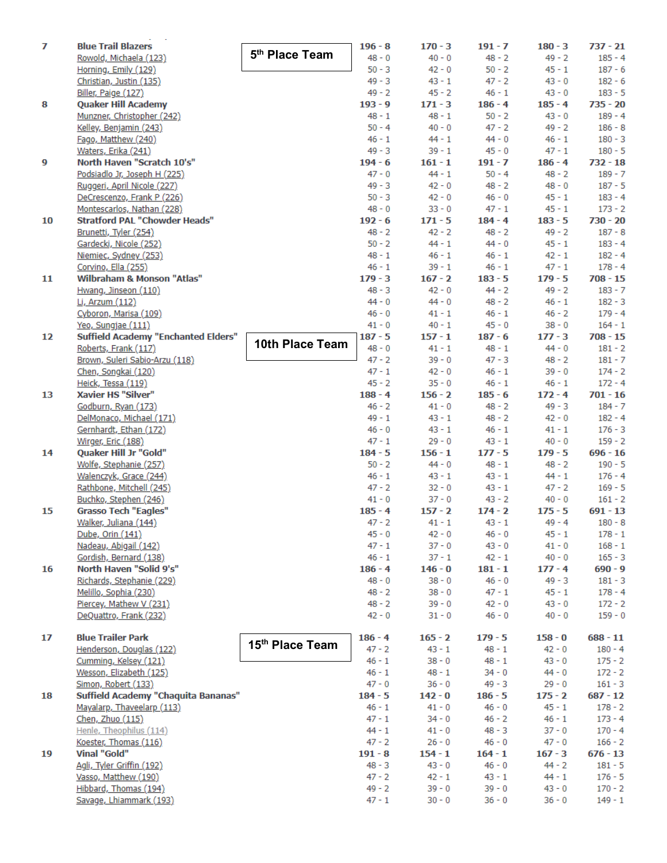| 7  | <b>Blue Trail Blazers</b>                  | 5 <sup>th</sup> Place Team  | $196 - 8$ | $170 - 3$ | $191 - 7$ | $180 - 3$ | $737 - 21$ |
|----|--------------------------------------------|-----------------------------|-----------|-----------|-----------|-----------|------------|
|    | Rowold, Michaela (123)                     |                             | $48 - 0$  | $40 - 0$  | $48 - 2$  | $49 - 2$  | $185 - 4$  |
|    | Horning, Emily (129)                       |                             | $50 - 3$  | $42 - 0$  | $50 - 2$  | $45 - 1$  | $187 - 6$  |
|    | Christian, Justin (135)                    |                             | 49 - 3    | $43 - 1$  | $47 - 2$  | $43 - 0$  | $182 - 6$  |
|    | Biller, Paige (127)                        |                             | $49 - 2$  | $45 - 2$  | $46 - 1$  | $43 - 0$  | $183 - 5$  |
| 8  | <b>Quaker Hill Academy</b>                 |                             | $193 - 9$ | $171 - 3$ | $186 - 4$ | $185 - 4$ | $735 - 20$ |
|    | Munzner, Christopher (242)                 |                             | $48 - 1$  | $48 - 1$  | $50 - 2$  | $43 - 0$  | $189 - 4$  |
|    | Kelley, Benjamin (243)                     |                             | $50 - 4$  | $40 - 0$  | $47 - 2$  | $49 - 2$  | $186 - 8$  |
|    | Fago, Matthew (240)                        |                             | $46 - 1$  | $44 - 1$  | $44 - 0$  | $46 - 1$  | $180 - 3$  |
|    | Waters, Erika (241)                        |                             | $49 - 3$  | $39 - 1$  | $45 - 0$  | $47 - 1$  | $180 - 5$  |
| 9  | North Haven "Scratch 10's"                 |                             | $194 - 6$ | $161 - 1$ | $191 - 7$ | $186 - 4$ | $732 - 18$ |
|    | Podsiadlo Jr, Joseph H (225)               |                             | $47 - 0$  | $44 - 1$  | $50 - 4$  | $48 - 2$  | $189 - 7$  |
|    | Ruggeri, April Nicole (227)                |                             | $49 - 3$  | $42 - 0$  | $48 - 2$  | $48 - 0$  | $187 - 5$  |
|    |                                            |                             | $50 - 3$  | $42 - 0$  | $46 - 0$  | $45 - 1$  | $183 - 4$  |
|    | DeCrescenzo, Frank P (226)                 |                             |           |           |           |           |            |
|    | Montescarlos, Nathan (228)                 |                             | $48 - 0$  | $33 - 0$  | 47 - 1    | $45 - 1$  | $173 - 2$  |
| 10 | <b>Stratford PAL "Chowder Heads"</b>       |                             | $192 - 6$ | $171 - 5$ | $184 - 4$ | $183 - 5$ | $730 - 20$ |
|    | Brunetti, Tyler (254)                      |                             | 48 - 2    | $42 - 2$  | $48 - 2$  | $49 - 2$  | $187 - 8$  |
|    | Gardecki, Nicole (252)                     |                             | $50 - 2$  | $44 - 1$  | $44 - 0$  | $45 - 1$  | $183 - 4$  |
|    | Niemiec, Sydney (253)                      |                             | $48 - 1$  | $46 - 1$  | $46 - 1$  | $42 - 1$  | $182 - 4$  |
|    | Corvino, Ella (255)                        |                             | $46 - 1$  | $39 - 1$  | $46 - 1$  | $47 - 1$  | $178 - 4$  |
| 11 | <b>Wilbraham &amp; Monson "Atlas"</b>      |                             | $179 - 3$ | $167 - 2$ | $183 - 5$ | $179 - 5$ | $708 - 15$ |
|    | Hwang, Jinseon (110)                       |                             | $48 - 3$  | $42 - 0$  | $44 - 2$  | $49 - 2$  | $183 - 7$  |
|    | Li, Arzum (112)                            |                             | $44 - 0$  | $44 - 0$  | $48 - 2$  | $46 - 1$  | $182 - 3$  |
|    | Cyboron, Marisa (109)                      |                             | $46 - 0$  | $41 - 1$  | $46 - 1$  | $46 - 2$  | $179 - 4$  |
|    | Yeo, Sungjae (111)                         |                             | $41 - 0$  | $40 - 1$  | $45 - 0$  | $38 - 0$  | $164 - 1$  |
| 12 | <b>Suffield Academy "Enchanted Elders"</b> | 10th Place Team             | $187 - 5$ | $157 - 1$ | $187 - 6$ | $177 - 3$ | $708 - 15$ |
|    | Roberts, Frank (117)                       |                             | $48 - 0$  | $41 - 1$  | $48 - 1$  | 44 - 0    | $181 - 2$  |
|    | Brown, Suleri Sabio-Arzu (118)             |                             | $47 - 2$  | $39 - 0$  | $47 - 3$  | $48 - 2$  | $181 - 7$  |
|    | Chen, Songkai (120)                        |                             | $47 - 1$  | $42 - 0$  | $46 - 1$  | $39 - 0$  | $174 - 2$  |
|    | Heick, Tessa (119)                         |                             | $45 - 2$  | $35 - 0$  | $46 - 1$  | $46 - 1$  | $172 - 4$  |
| 13 | Xavier HS "Silver"                         |                             | $188 - 4$ | $156 - 2$ | $185 - 6$ | $172 - 4$ | $701 - 16$ |
|    | Godburn, Ryan (173)                        |                             | $46 - 2$  | $41 - 0$  | $48 - 2$  | $49 - 3$  | $184 - 7$  |
|    | DelMonaco, Michael (171)                   |                             | $49 - 1$  | $43 - 1$  | $48 - 2$  | $42 - 0$  | $182 - 4$  |
|    | Gernhardt, Ethan (172)                     |                             | $46 - 0$  | $43 - 1$  | $46 - 1$  | $41 - 1$  | $176 - 3$  |
|    | Wirger, Eric (188)                         |                             | $47 - 1$  | $29 - 0$  | $43 - 1$  | $40 - 0$  | $159 - 2$  |
| 14 | Quaker Hill Jr "Gold"                      |                             | $184 - 5$ | $156 - 1$ | $177 - 5$ | $179 - 5$ | $696 - 16$ |
|    | Wolfe, Stephanie (257)                     |                             | $50 - 2$  | $44 - 0$  | $48 - 1$  | $48 - 2$  | $190 - 5$  |
|    | Walenczyk, Grace (244)                     |                             | $46 - 1$  | $43 - 1$  | $43 - 1$  | $44 - 1$  | $176 - 4$  |
|    | Rathbone, Mitchell (245)                   |                             | $47 - 2$  | $32 - 0$  | $43 - 1$  | $47 - 2$  | $169 - 5$  |
|    | Buchko, Stephen (246)                      |                             | $41 - 0$  | $37 - 0$  | $43 - 2$  | $40 - 0$  | $161 - 2$  |
| 15 | <b>Grasso Tech "Eagles"</b>                |                             | $185 - 4$ | $157 - 2$ | $174 - 2$ | $175 - 5$ | $691 - 13$ |
|    | Walker, Juliana (144)                      |                             | $47 - 2$  | $41 - 1$  | $43 - 1$  | $49 - 4$  | $180 - 8$  |
|    | Dube, Orin (141)                           |                             | $45 - 0$  | $42 - 0$  | $46 - 0$  | $45 - 1$  | $178 - 1$  |
|    | Nadeau, Abigail (142)                      |                             | $47 - 1$  | $37 - 0$  | $43 - 0$  | $41 - 0$  | $168 - 1$  |
|    | Gordish, Bernard (138)                     |                             | 46 - 1    | $37 - 1$  | $42 - 1$  | $40 - 0$  | $165 - 3$  |
| 16 | North Haven "Solid 9's"                    |                             | $186 - 4$ | $146 - 0$ | $181 - 1$ | $177 - 4$ | $690 - 9$  |
|    | Richards, Stephanie (229)                  |                             | 48 - 0    | $38 - 0$  | $46 - 0$  | 49 - 3    | $181 - 3$  |
|    | Melillo, Sophia (230)                      |                             | 48 - 2    | $38 - 0$  | $47 - 1$  | $45 - 1$  | $178 - 4$  |
|    | Piercey, Mathew V (231)                    |                             | 48 - 2    | $39 - 0$  | $42 - 0$  | $43 - 0$  | $172 - 2$  |
|    | DeQuattro, Frank (232)                     |                             | $42 - 0$  | $31 - 0$  | $46 - 0$  | $40 - 0$  | $159 - 0$  |
|    |                                            |                             |           |           |           |           |            |
| 17 | <b>Blue Trailer Park</b>                   |                             | $186 - 4$ | $165 - 2$ | $179 - 5$ | $158 - 0$ | $688 - 11$ |
|    | Henderson, Douglas (122)                   | 15 <sup>th</sup> Place Team | $47 - 2$  | $43 - 1$  | $48 - 1$  | $42 - 0$  | $180 - 4$  |
|    | Cumming, Kelsey (121)                      |                             | $46 - 1$  | $38 - 0$  | $48 - 1$  | $43 - 0$  | $175 - 2$  |
|    | Wesson, Elizabeth (125)                    |                             | $46 - 1$  | $48 - 1$  | $34 - 0$  | $44 - 0$  | $172 - 2$  |
|    | Simon, Robert (133)                        |                             | $47 - 0$  | $36 - 0$  | $49 - 3$  | $29 - 0$  | $161 - 3$  |
| 18 | Suffield Academy "Chaquita Bananas"        |                             | $184 - 5$ | $142 - 0$ | $186 - 5$ | $175 - 2$ | $687 - 12$ |
|    |                                            |                             | $46 - 1$  | $41 - 0$  | $46 - 0$  | $45 - 1$  | $178 - 2$  |
|    | Mayalarp, Thaveelarp (113)                 |                             | $47 - 1$  |           | $46 - 2$  | $46 - 1$  |            |
|    | Chen, Zhuo (115)                           |                             |           | $34 - 0$  |           |           | $173 - 4$  |
|    | Henle, Theophilus (114)                    |                             | $44 - 1$  | $41 - 0$  | $48 - 3$  | $37 - 0$  | $170 - 4$  |
|    | Koester, Thomas (116)                      |                             | 47 - 2    | $26 - 0$  | $46 - 0$  | 47 - 0    | $166 - 2$  |
| 19 | <b>Vinal "Gold"</b>                        |                             | $191 - 8$ | $154 - 1$ | $164 - 1$ | $167 - 3$ | $676 - 13$ |
|    | Agli, Tyler Griffin (192)                  |                             | 48 - 3    | $43 - 0$  | $46 - 0$  | $44 - 2$  | $181 - 5$  |
|    | Vasso, Matthew (190)                       |                             | $47 - 2$  | $42 - 1$  | 43 - 1    | $44 - 1$  | $176 - 5$  |
|    | Hibbard, Thomas (194)                      |                             | 49 - 2    | $39 - 0$  | 39 - 0    | $43 - 0$  | $170 - 2$  |
|    | Savage, Lhiammark (193)                    |                             | $47 - 1$  | $30 - 0$  | $36 - 0$  | $36 - 0$  | $149 - 1$  |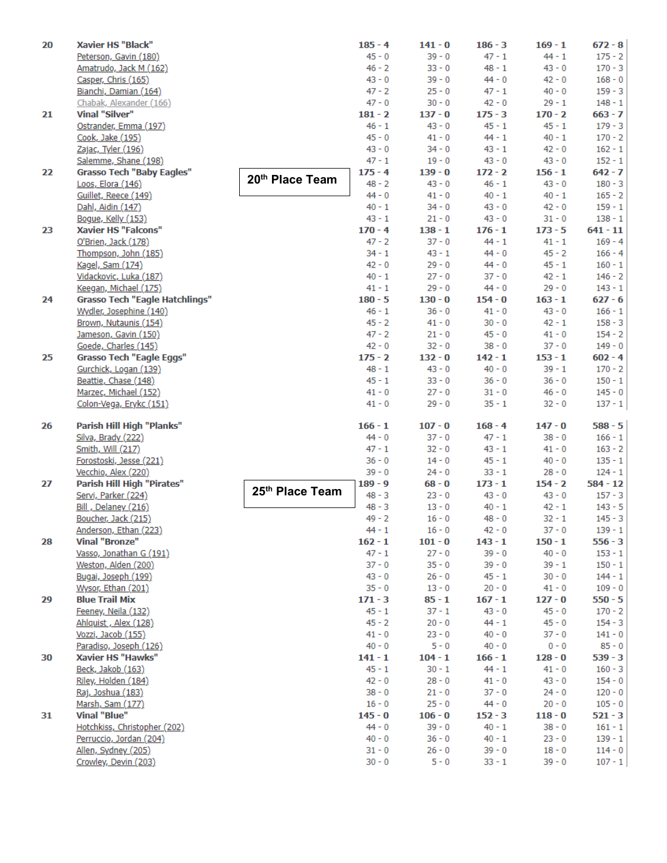| 20 | Xavier HS "Black"                         |                 | $185 - 4$             | $141 - 0$            | $186 - 3$            | $169 - 1$            | $672 - 8$              |
|----|-------------------------------------------|-----------------|-----------------------|----------------------|----------------------|----------------------|------------------------|
|    | Peterson, Gavin (180)                     |                 | $45 - 0$              | $39 - 0$             | $47 - 1$             | $44 - 1$             | $175 - 2$              |
|    | Amatrudo, Jack M (162)                    |                 | $46 - 2$              | $33 - 0$             | $48 - 1$             | $43 - 0$             | $170 - 3$              |
|    | Casper, Chris (165)                       |                 | $43 - 0$              | $39 - 0$             | $44 - 0$             | $42 - 0$             | $168 - 0$              |
|    | Bianchi, Damian (164)                     |                 | $47 - 2$              | $25 - 0$             | $47 - 1$             | $40 - 0$             | $159 - 3$              |
|    | Chabak, Alexander (166)                   |                 | $47 - 0$              | $30 - 0$             | $42 - 0$             | $29 - 1$             | $148 - 1$              |
| 21 | Vinal "Silver"                            |                 | $181 - 2$             | $137 - 0$            | $175 - 3$            | $170 - 2$            | $663 - 7$              |
|    | Ostrander, Emma (197)                     |                 | $46 - 1$              | $43 - 0$             | $45 - 1$             | $45 - 1$             | $179 - 3$              |
|    | Cook, Jake (195)                          |                 | $45 - 0$              | $41 - 0$             | $44 - 1$             | $40 - 1$             | $170 - 2$              |
|    | Zajac, Tyler (196)                        |                 | $43 - 0$              | $34 - 0$             | $43 - 1$             | $42 - 0$             | $162 - 1$              |
|    | Salemme, Shane (198)                      |                 | $47 - 1$              | $19 - 0$             | $43 - 0$             | $43 - 0$             | $152 - 1$              |
| 22 | <b>Grasso Tech "Baby Eagles"</b>          | 20th Place Team | $175 - 4$             | $139 - 0$            | $172 - 2$            | $156 - 1$            | $642 - 7$              |
|    | Loos, Elora (146)                         |                 | $48 - 2$<br>$44 - 0$  | $43 - 0$<br>$41 - 0$ | $46 - 1$<br>$40 - 1$ | $43 - 0$<br>$40 - 1$ | $180 - 3$<br>$165 - 2$ |
|    | Guillet, Reece (149)<br>Dahl, Aidin (147) |                 | $40 - 1$              | $34 - 0$             | $43 - 0$             | $42 - 0$             | $159 - 1$              |
|    | Bogue, Kelly (153)                        |                 | 43 - 1                | $21 - 0$             | $43 - 0$             | $31 - 0$             | $138 - 1$              |
| 23 | <b>Xavier HS "Falcons"</b>                |                 | $170 - 4$             | $138 - 1$            | $176 - 1$            | $173 - 5$            | $641 - 11$             |
|    | O'Brien, Jack (178)                       |                 | $47 - 2$              | $37 - 0$             | $44 - 1$             | $41 - 1$             | $169 - 4$              |
|    | Thompson, John (185)                      |                 | $34 - 1$              | $43 - 1$             | $44 - 0$             | $45 - 2$             | $166 - 4$              |
|    | Kagel, Sam (174)                          |                 | $42 - 0$              | $29 - 0$             | $44 - 0$             | $45 - 1$             | $160 - 1$              |
|    | Vidackovic, Luka (187)                    |                 | $40 - 1$              | $27 - 0$             | $37 - 0$             | $42 - 1$             | $146 - 2$              |
|    | Keegan, Michael (175)                     |                 | $41 - 1$              | $29 - 0$             | $44 - 0$             | $29 - 0$             | $143 - 1$              |
| 24 | <b>Grasso Tech "Eagle Hatchlings"</b>     |                 | $180 - 5$             | $130 - 0$            | $154 - 0$            | $163 - 1$            | $627 - 6$              |
|    | Wydler, Josephine (140)                   |                 | $46 - 1$              | $36 - 0$             | $41 - 0$             | $43 - 0$             | $166 - 1$              |
|    | Brown, Nutaunis (154)                     |                 | $45 - 2$              | $41 - 0$             | $30 - 0$             | $42 - 1$             | $158 - 3$              |
|    | Jameson, Gavin (150)                      |                 | $47 - 2$              | $21 - 0$             | $45 - 0$             | $41 - 0$             | $154 - 2$              |
|    | Goede, Charles (145)                      |                 | $42 - 0$              | $32 - 0$             | $38 - 0$             | $37 - 0$             | $149 - 0$              |
| 25 | <b>Grasso Tech "Eagle Eggs"</b>           |                 | $175 - 2$             | $132 - 0$            | $142 - 1$            | $153 - 1$            | $602 - 4$              |
|    | Gurchick, Logan (139)                     |                 | $48 - 1$              | $43 - 0$             | $40 - 0$             | $39 - 1$             | $170 - 2$              |
|    | Beattie, Chase (148)                      |                 | $45 - 1$              | $33 - 0$             | $36 - 0$             | $36 - 0$             | $150 - 1$              |
|    | Marzec, Michael (152)                     |                 | $41 - 0$              | $27 - 0$             | $31 - 0$             | $46 - 0$             | $145 - 0$              |
|    | Colon-Vega, Erykc (151)                   |                 | $41 - 0$              | $29 - 0$             | $35 - 1$             | $32 - 0$             | $137 - 1$              |
| 26 | Parish Hill High "Planks"                 |                 | $166 - 1$             | $107 - 0$            | $168 - 4$            | $147 - 0$            | $588 - 5$              |
|    | Silva, Brady (222)                        |                 | $44 - 0$              | $37 - 0$             | $47 - 1$             | $38 - 0$             | $166 - 1$              |
|    | Smith, Will (217)                         |                 | $47 - 1$              | $32 - 0$             | $43 - 1$             | $41 - 0$             | $163 - 2$              |
|    | Forostoski, Jesse (221)                   |                 | $36 - 0$              | $14 - 0$             | $45 - 1$             | $40 - 0$             | $135 - 1$              |
|    | Vecchio, Alex (220)                       |                 | $39 - 0$              | $24 - 0$             | $33 - 1$             | $28 - 0$             | $124 - 1$              |
| 27 | Parish Hill High "Pirates"                |                 | $189 - 9$             | $68 - 0$             | $173 - 1$            | $154 - 2$            | $584 - 12$             |
|    | Servi, Parker (224)                       | 25th Place Team | $48 - 3$              | $23 - 0$             | $43 - 0$             | $43 - 0$             | $157 - 3$              |
|    | Bill, Delaney (216)                       |                 | $48 - 3$              | $13 - 0$             | $40 - 1$             | $42 - 1$             | $143 - 5$              |
|    | Boucher, Jack (215)                       |                 | $49 - 2$              | $16 - 0$             | $48 - 0$             | $32 - 1$             | $145 - 3$              |
|    | Anderson, Ethan (223)                     |                 | $44 - 1$              | $16 - 0$             | $42 - 0$             | $37 - 0$             | $139 - 1$              |
| 28 | <b>Vinal "Bronze"</b>                     |                 | $162 - 1$             | $101 - 0$            | $143 - 1$            | $150 - 1$            | $556 - 3$              |
|    | Vasso, Jonathan G (191)                   |                 | $47 - 1$              | $27 - 0$             | $39 - 0$             | $40 - 0$             | $153 - 1$              |
|    | Weston, Alden (200)                       |                 | $37 - 0$              | $35 - 0$             | $39 - 0$             | $39 - 1$             | $150 - 1$              |
|    | Bugai, Joseph (199)                       |                 | $43 - 0$              | $26 - 0$             | $45 - 1$             | $30 - 0$             | $144 - 1$              |
|    | Wysor, Ethan (201)                        |                 | $35 - 0$              | $13 - 0$             | $20 - 0$             | $41 - 0$             | $109 - 0$              |
| 29 | <b>Blue Trail Mix</b>                     |                 | $171 - 3$             | $85 - 1$             | $167 - 1$            | $127 - 0$            | $550 - 5$              |
|    | Feeney, Neila (132)                       |                 | $45 - 1$              | $37 - 1$             | $43 - 0$             | $45 - 0$             | $170 - 2$              |
|    | Ahlquist, Alex (128)                      |                 | $45 - 2$              | $20 - 0$             | $44 - 1$             | $45 - 0$             | $154 - 3$              |
|    | Vozzi, Jacob (155)                        |                 | $41 - 0$              | $23 - 0$             | $40 - 0$             | $37 - 0$             | $141 - 0$              |
|    | Paradiso, Joseph (126)                    |                 | $40 - 0$              | $5 - 0$              | $40 - 0$             | $0 - 0$              | $85 - 0$               |
| 30 | <b>Xavier HS "Hawks"</b>                  |                 | $141 - 1$<br>$45 - 1$ | $104 - 1$            | $166 - 1$            | $128 - 0$            | $539 - 3$              |
|    | Beck, Jakob (163)                         |                 | $42 - 0$              | $30 - 1$<br>$28 - 0$ | $44 - 1$<br>$41 - 0$ | $41 - 0$<br>$43 - 0$ | $160 - 3$              |
|    | Riley, Holden (184)<br>Raj, Joshua (183)  |                 | $38 - 0$              | $21 - 0$             | $37 - 0$             | $24 - 0$             | $154 - 0$<br>$120 - 0$ |
|    | Marsh, Sam (177)                          |                 | $16 - 0$              | $25 - 0$             | $44 - 0$             | $20 - 0$             | $105 - 0$              |
| 31 | <b>Vinal "Blue"</b>                       |                 | $145 - 0$             | $106 - 0$            | $152 - 3$            | $118 - 0$            | $521 - 3$              |
|    | Hotchkiss, Christopher (202)              |                 | $44 - 0$              | $39 - 0$             | $40 - 1$             | $38 - 0$             | $161 - 1$              |
|    | Perruccio, Jordan (204)                   |                 | $40 - 0$              | $36 - 0$             | $40 - 1$             | $23 - 0$             | $139 - 1$              |
|    | Allen, Sydney (205)                       |                 | $31 - 0$              | $26 - 0$             | $39 - 0$             | $18 - 0$             | $114 - 0$              |
|    | Crowley, Devin (203)                      |                 | $30 - 0$              | $5 - 0$              | $33 - 1$             | $39 - 0$             | $107 - 1$              |
|    |                                           |                 |                       |                      |                      |                      |                        |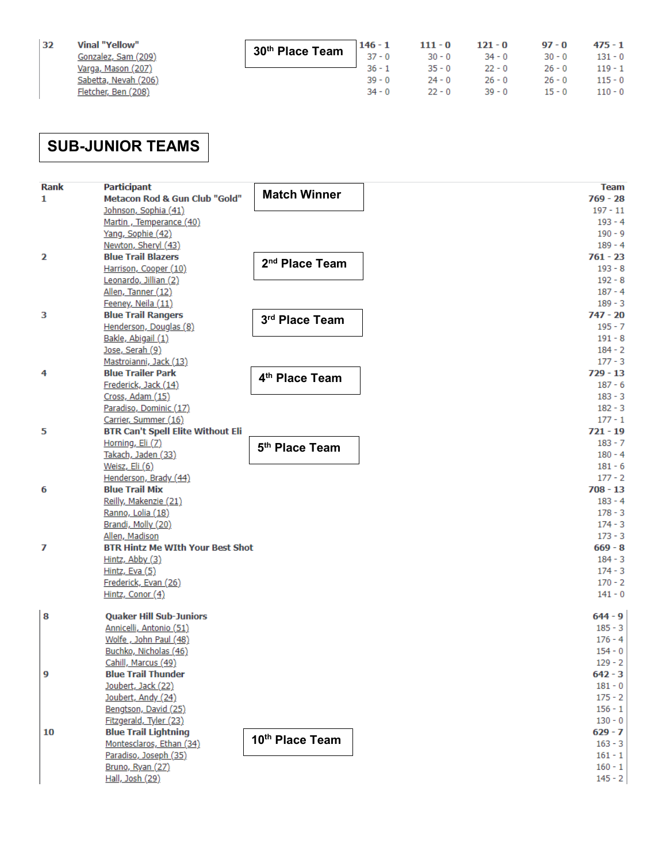| 32 | Vinal "Yellow"       |
|----|----------------------|
|    | Gonzalez, Sam (209)  |
|    | Varga, Mason (207)   |
|    | Sabetta, Nevah (206) |
|    | Fletcher, Ben (208)  |

| <b>30<sup>th</sup> Place Team</b> $\begin{array}{ c c c c c c }\n\hline\n30^{th} & \textbf{Place Team} & 146 - 1 & 111 - 0 & 121 - 0 & 97 - 0 & 475 - 1 \\ & & & & & 37 - 0 & 30 - 0 & 34 - 0 & 30 - 0 & 131 - 0 \\ & & & & & 36 - 1 & 35 - 0 & 22 - 0 & 26 - 0 & 119 - 1\n\end{array}$ |           |          |                                |                       |  |
|-----------------------------------------------------------------------------------------------------------------------------------------------------------------------------------------------------------------------------------------------------------------------------------------|-----------|----------|--------------------------------|-----------------------|--|
|                                                                                                                                                                                                                                                                                         |           |          |                                |                       |  |
|                                                                                                                                                                                                                                                                                         |           |          |                                |                       |  |
|                                                                                                                                                                                                                                                                                         | $39 - 0$  | $24 - 0$ |                                | 26 - 0 26 - 0 115 - 0 |  |
|                                                                                                                                                                                                                                                                                         | $-34 - 0$ |          | $22 - 0$ 39 - 0 15 - 0 110 - 0 |                       |  |

## **SUB-JUNIOR TEAMS**

| <b>Rank</b> | <b>Participant</b>                                 |                            | <b>Team</b>            |
|-------------|----------------------------------------------------|----------------------------|------------------------|
| 1           | Metacon Rod & Gun Club "Gold"                      | <b>Match Winner</b>        | $769 - 28$             |
|             | Johnson, Sophia (41)                               |                            | $197 - 11$             |
|             | Martin, Temperance (40)                            |                            | $193 - 4$              |
|             | Yang, Sophie (42)                                  |                            | $190 - 9$              |
|             | Newton, Sheryl (43)                                |                            | $189 - 4$              |
| 2           | <b>Blue Trail Blazers</b>                          | 2 <sup>nd</sup> Place Team | $761 - 23$             |
|             | Harrison, Cooper (10)                              |                            | $193 - 8$              |
|             | Leonardo, Jillian (2)                              |                            | $192 - 8$              |
|             | Allen, Tanner (12)                                 |                            | $187 - 4$              |
|             | Feeney, Neila (11)                                 |                            | $189 - 3$              |
| з           | <b>Blue Trail Rangers</b>                          | 3rd Place Team             | $747 - 20$             |
|             | Henderson, Douglas (8)                             |                            | $195 - 7$              |
|             | Bakle, Abigail (1)                                 |                            | $191 - 8$              |
|             | Jose, Serah (9)                                    |                            | $184 - 2$<br>$177 - 3$ |
|             | Mastroianni, Jack (13)<br><b>Blue Trailer Park</b> |                            | $729 - 13$             |
| 4           | Frederick, Jack (14)                               | 4 <sup>th</sup> Place Team | $187 - 6$              |
|             | Cross, Adam (15)                                   |                            | $183 - 3$              |
|             | Paradiso, Dominic (17)                             |                            | $182 - 3$              |
|             | Carrier, Summer (16)                               |                            | $177 - 1$              |
| 5           | <b>BTR Can't Spell Elite Without Eli</b>           |                            | $721 - 19$             |
|             | Horning, Eli (7)                                   |                            | $183 - 7$              |
|             | Takach, Jaden (33)                                 | 5 <sup>th</sup> Place Team | $180 - 4$              |
|             | Weisz, Eli (6)                                     |                            | $181 - 6$              |
|             | Henderson, Brady (44)                              |                            | $177 - 2$              |
| 6           | <b>Blue Trail Mix</b>                              |                            | $708 - 13$             |
|             | Reilly, Makenzie (21)                              |                            | $183 - 4$              |
|             | Ranno, Lolia (18)                                  |                            | $178 - 3$              |
|             | Brandi, Molly (20)                                 |                            | $174 - 3$              |
|             | Allen, Madison                                     |                            | $173 - 3$              |
| 7           | <b>BTR Hintz Me WIth Your Best Shot</b>            |                            | $669 - 8$              |
|             | Hintz, Abby (3)                                    |                            | $184 - 3$              |
|             | Hintz, Eva $(5)$                                   |                            | $174 - 3$              |
|             | Frederick, Evan (26)                               |                            | $170 - 2$              |
|             | Hintz, Conor (4)                                   |                            | $141 - 0$              |
| 8           | <b>Quaker Hill Sub-Juniors</b>                     |                            | $644 - 9$              |
|             | Annicelli, Antonio (51)                            |                            | $185 - 3$              |
|             | Wolfe, John Paul (48)                              |                            | $176 - 4$              |
|             | Buchko, Nicholas (46)                              |                            | $154 - 0$              |
|             | Cahill, Marcus (49)                                |                            | $129 - 2$              |
| 9           | <b>Blue Trail Thunder</b>                          |                            | $642 - 3$              |
|             | Joubert, Jack (22)                                 |                            | $181 - 0$              |
|             | Joubert, Andy (24)                                 |                            | $175 - 2$              |
|             | Bengtson, David (25)                               |                            | $156 - 1$              |
|             | Fitzgerald, Tyler (23)                             |                            | $130 - 0$              |
| 10          | <b>Blue Trail Lightning</b>                        | 10th Place Team            | $629 - 7$              |
|             | Montesclaros, Ethan (34)                           |                            | $163 - 3$              |
|             | Paradiso, Joseph (35)                              |                            | $161 - 1$<br>$160 - 1$ |
|             | Bruno, Ryan (27)                                   |                            |                        |
|             | Hall, Josh (29)                                    |                            | $145 - 2$              |